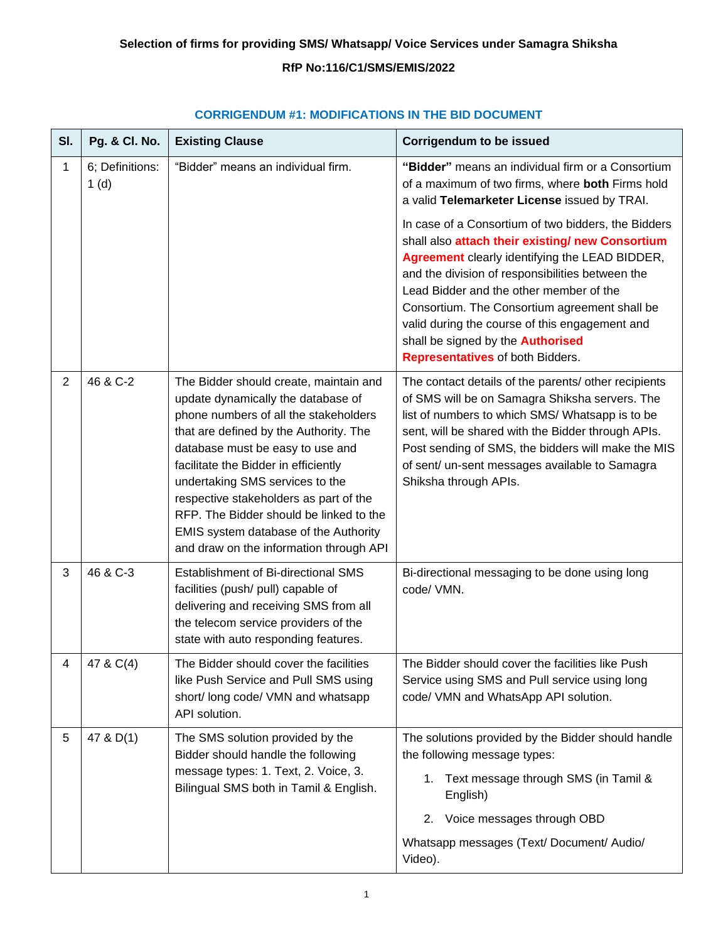# **RfP No:116/C1/SMS/EMIS/2022**

| SI.            | Pg. & Cl. No.           | <b>Existing Clause</b>                                                                                                                                                                                                                                                                                                                                                                                                                                  | <b>Corrigendum to be issued</b>                                                                                                                                                                                                                                                                                                                                                                                                             |
|----------------|-------------------------|---------------------------------------------------------------------------------------------------------------------------------------------------------------------------------------------------------------------------------------------------------------------------------------------------------------------------------------------------------------------------------------------------------------------------------------------------------|---------------------------------------------------------------------------------------------------------------------------------------------------------------------------------------------------------------------------------------------------------------------------------------------------------------------------------------------------------------------------------------------------------------------------------------------|
| 1              | 6; Definitions:<br>1(d) | "Bidder" means an individual firm.                                                                                                                                                                                                                                                                                                                                                                                                                      | "Bidder" means an individual firm or a Consortium<br>of a maximum of two firms, where both Firms hold<br>a valid Telemarketer License issued by TRAI.                                                                                                                                                                                                                                                                                       |
|                |                         |                                                                                                                                                                                                                                                                                                                                                                                                                                                         | In case of a Consortium of two bidders, the Bidders<br>shall also attach their existing/ new Consortium<br>Agreement clearly identifying the LEAD BIDDER,<br>and the division of responsibilities between the<br>Lead Bidder and the other member of the<br>Consortium. The Consortium agreement shall be<br>valid during the course of this engagement and<br>shall be signed by the <b>Authorised</b><br>Representatives of both Bidders. |
| $\overline{2}$ | 46 & C-2                | The Bidder should create, maintain and<br>update dynamically the database of<br>phone numbers of all the stakeholders<br>that are defined by the Authority. The<br>database must be easy to use and<br>facilitate the Bidder in efficiently<br>undertaking SMS services to the<br>respective stakeholders as part of the<br>RFP. The Bidder should be linked to the<br>EMIS system database of the Authority<br>and draw on the information through API | The contact details of the parents/ other recipients<br>of SMS will be on Samagra Shiksha servers. The<br>list of numbers to which SMS/ Whatsapp is to be<br>sent, will be shared with the Bidder through APIs.<br>Post sending of SMS, the bidders will make the MIS<br>of sent/ un-sent messages available to Samagra<br>Shiksha through APIs.                                                                                            |
| 3              | 46 & C-3                | Establishment of Bi-directional SMS<br>facilities (push/ pull) capable of<br>delivering and receiving SMS from all<br>the telecom service providers of the<br>state with auto responding features.                                                                                                                                                                                                                                                      | Bi-directional messaging to be done using long<br>code/ VMN.                                                                                                                                                                                                                                                                                                                                                                                |
| 4              | 47 & C(4)               | The Bidder should cover the facilities<br>like Push Service and Pull SMS using<br>short/ long code/ VMN and whatsapp<br>API solution.                                                                                                                                                                                                                                                                                                                   | The Bidder should cover the facilities like Push<br>Service using SMS and Pull service using long<br>code/ VMN and WhatsApp API solution.                                                                                                                                                                                                                                                                                                   |
| 5              | 47 & D(1)               | The SMS solution provided by the<br>Bidder should handle the following<br>message types: 1. Text, 2. Voice, 3.<br>Bilingual SMS both in Tamil & English.                                                                                                                                                                                                                                                                                                | The solutions provided by the Bidder should handle<br>the following message types:<br>Text message through SMS (in Tamil &<br>1.<br>English)<br>Voice messages through OBD<br>2.<br>Whatsapp messages (Text/ Document/ Audio/<br>Video).                                                                                                                                                                                                    |

## **CORRIGENDUM #1: MODIFICATIONS IN THE BID DOCUMENT**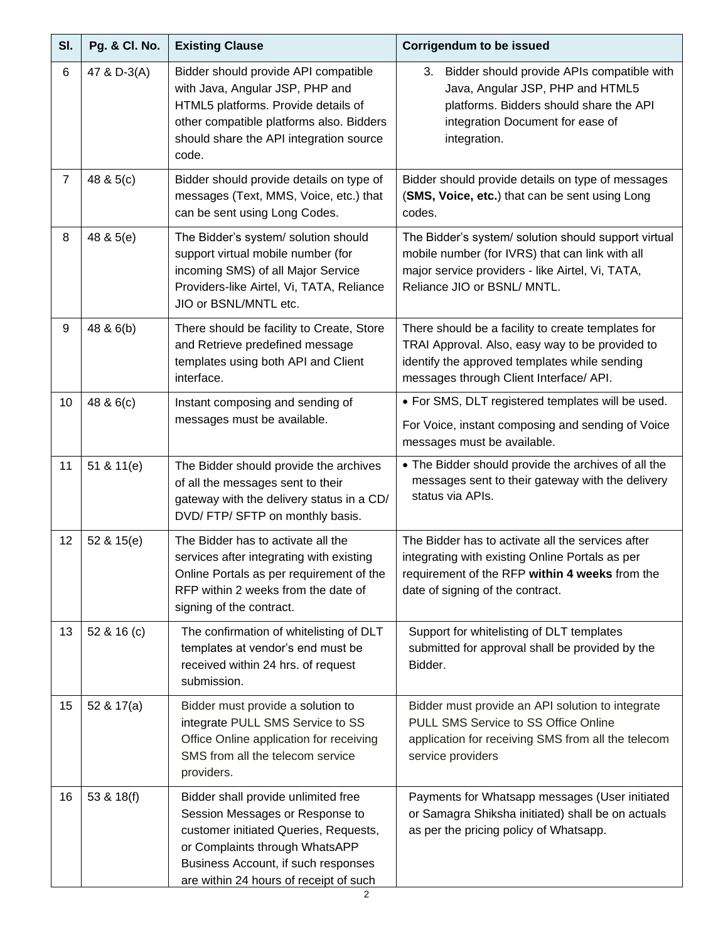| SI.            | Pg. & Cl. No. | <b>Existing Clause</b>                                                                                                                                                                                                             | <b>Corrigendum to be issued</b>                                                                                                                                                                   |
|----------------|---------------|------------------------------------------------------------------------------------------------------------------------------------------------------------------------------------------------------------------------------------|---------------------------------------------------------------------------------------------------------------------------------------------------------------------------------------------------|
| 6              | 47 & D-3(A)   | Bidder should provide API compatible<br>with Java, Angular JSP, PHP and<br>HTML5 platforms. Provide details of<br>other compatible platforms also. Bidders<br>should share the API integration source<br>code.                     | Bidder should provide APIs compatible with<br>3.<br>Java, Angular JSP, PHP and HTML5<br>platforms. Bidders should share the API<br>integration Document for ease of<br>integration.               |
| $\overline{7}$ | 48 & 5(c)     | Bidder should provide details on type of<br>messages (Text, MMS, Voice, etc.) that<br>can be sent using Long Codes.                                                                                                                | Bidder should provide details on type of messages<br>(SMS, Voice, etc.) that can be sent using Long<br>codes.                                                                                     |
| 8              | 48 & 5(e)     | The Bidder's system/ solution should<br>support virtual mobile number (for<br>incoming SMS) of all Major Service<br>Providers-like Airtel, Vi, TATA, Reliance<br>JIO or BSNL/MNTL etc.                                             | The Bidder's system/ solution should support virtual<br>mobile number (for IVRS) that can link with all<br>major service providers - like Airtel, Vi, TATA,<br>Reliance JIO or BSNL/ MNTL.        |
| 9              | 48 & 6(b)     | There should be facility to Create, Store<br>and Retrieve predefined message<br>templates using both API and Client<br>interface.                                                                                                  | There should be a facility to create templates for<br>TRAI Approval. Also, easy way to be provided to<br>identify the approved templates while sending<br>messages through Client Interface/ API. |
| 10             | 48 & 6(c)     | Instant composing and sending of<br>messages must be available.                                                                                                                                                                    | • For SMS, DLT registered templates will be used.<br>For Voice, instant composing and sending of Voice<br>messages must be available.                                                             |
| 11             | 51 & 11(e)    | The Bidder should provide the archives<br>of all the messages sent to their<br>gateway with the delivery status in a CD/<br>DVD/ FTP/ SFTP on monthly basis.                                                                       | • The Bidder should provide the archives of all the<br>messages sent to their gateway with the delivery<br>status via APIs.                                                                       |
| 12             | 52 & 15(e)    | The Bidder has to activate all the<br>services after integrating with existing<br>Online Portals as per requirement of the<br>RFP within 2 weeks from the date of<br>signing of the contract.                                      | The Bidder has to activate all the services after<br>integrating with existing Online Portals as per<br>requirement of the RFP within 4 weeks from the<br>date of signing of the contract.        |
| 13             | 52 & 16 (c)   | The confirmation of whitelisting of DLT<br>templates at vendor's end must be<br>received within 24 hrs. of request<br>submission.                                                                                                  | Support for whitelisting of DLT templates<br>submitted for approval shall be provided by the<br>Bidder.                                                                                           |
| 15             | 52 & 17(a)    | Bidder must provide a solution to<br>integrate PULL SMS Service to SS<br>Office Online application for receiving<br>SMS from all the telecom service<br>providers.                                                                 | Bidder must provide an API solution to integrate<br>PULL SMS Service to SS Office Online<br>application for receiving SMS from all the telecom<br>service providers                               |
| 16             | 53 & 18(f)    | Bidder shall provide unlimited free<br>Session Messages or Response to<br>customer initiated Queries, Requests,<br>or Complaints through WhatsAPP<br>Business Account, if such responses<br>are within 24 hours of receipt of such | Payments for Whatsapp messages (User initiated<br>or Samagra Shiksha initiated) shall be on actuals<br>as per the pricing policy of Whatsapp.                                                     |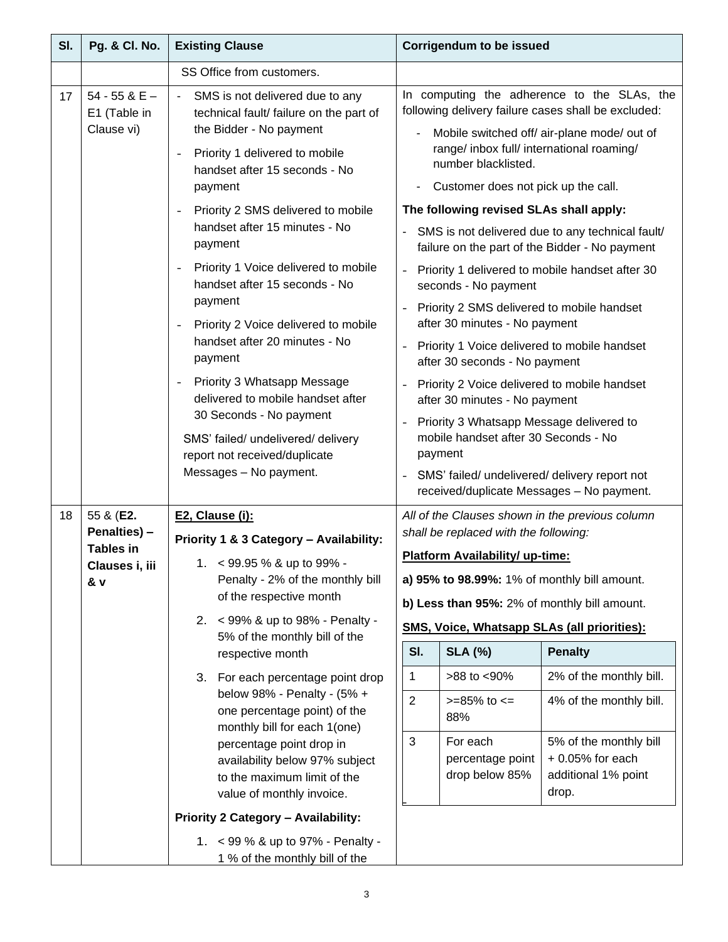| SI. | Pg. & Cl. No.                                           | <b>Existing Clause</b>                                                                                 | <b>Corrigendum to be issued</b>                                                                                                                   |  |  |  |
|-----|---------------------------------------------------------|--------------------------------------------------------------------------------------------------------|---------------------------------------------------------------------------------------------------------------------------------------------------|--|--|--|
|     |                                                         | SS Office from customers.                                                                              |                                                                                                                                                   |  |  |  |
| 17  | 54 - 55 & $E -$<br>E1 (Table in<br>Clause vi)           | SMS is not delivered due to any<br>technical fault/ failure on the part of<br>the Bidder - No payment  | In computing the adherence to the SLAs, the<br>following delivery failure cases shall be excluded:<br>Mobile switched off/ air-plane mode/ out of |  |  |  |
|     |                                                         | Priority 1 delivered to mobile<br>$\overline{\phantom{0}}$<br>handset after 15 seconds - No<br>payment | range/ inbox full/ international roaming/<br>number blacklisted.<br>Customer does not pick up the call.                                           |  |  |  |
|     |                                                         | Priority 2 SMS delivered to mobile<br>$\overline{\phantom{0}}$                                         | The following revised SLAs shall apply:                                                                                                           |  |  |  |
|     | handset after 15 minutes - No<br>payment                |                                                                                                        | SMS is not delivered due to any technical fault/<br>failure on the part of the Bidder - No payment                                                |  |  |  |
|     |                                                         | Priority 1 Voice delivered to mobile<br>$\overline{\phantom{0}}$<br>handset after 15 seconds - No      | Priority 1 delivered to mobile handset after 30<br>$\blacksquare$<br>seconds - No payment                                                         |  |  |  |
|     |                                                         | payment<br>Priority 2 Voice delivered to mobile<br>$\overline{\phantom{0}}$                            | Priority 2 SMS delivered to mobile handset<br>after 30 minutes - No payment                                                                       |  |  |  |
|     |                                                         | handset after 20 minutes - No<br>payment                                                               | Priority 1 Voice delivered to mobile handset<br>after 30 seconds - No payment                                                                     |  |  |  |
|     |                                                         | Priority 3 Whatsapp Message<br>$\overline{\phantom{0}}$<br>delivered to mobile handset after           | Priority 2 Voice delivered to mobile handset<br>after 30 minutes - No payment                                                                     |  |  |  |
|     |                                                         | 30 Seconds - No payment<br>SMS' failed/ undelivered/ delivery                                          | Priority 3 Whatsapp Message delivered to<br>$\blacksquare$<br>mobile handset after 30 Seconds - No<br>payment                                     |  |  |  |
|     | report not received/duplicate<br>Messages - No payment. |                                                                                                        | SMS' failed/ undelivered/ delivery report not<br>received/duplicate Messages - No payment.                                                        |  |  |  |
| 18  | 55 & (E2.                                               | E2, Clause (i):                                                                                        | All of the Clauses shown in the previous column                                                                                                   |  |  |  |
|     | Penalties) -<br><b>Tables in</b>                        | Priority 1 & 3 Category - Availability:                                                                | shall be replaced with the following:                                                                                                             |  |  |  |
|     | Clauses i, iii                                          | 1. $<$ 99.95 % & up to 99% -                                                                           | Platform Availability/ up-time:                                                                                                                   |  |  |  |
|     | & v                                                     | Penalty - 2% of the monthly bill<br>of the respective month                                            | a) 95% to 98.99%: 1% of monthly bill amount.                                                                                                      |  |  |  |
|     |                                                         | 2. < 99% & up to 98% - Penalty -                                                                       | b) Less than 95%: 2% of monthly bill amount.                                                                                                      |  |  |  |
|     |                                                         | 5% of the monthly bill of the                                                                          | <b>SMS, Voice, Whatsapp SLAs (all priorities):</b>                                                                                                |  |  |  |
|     |                                                         | respective month                                                                                       | SI.<br><b>SLA (%)</b><br><b>Penalty</b>                                                                                                           |  |  |  |
|     |                                                         | 3. For each percentage point drop<br>below 98% - Penalty - (5% +                                       | 2% of the monthly bill.<br>1<br>>88 to <90%                                                                                                       |  |  |  |
|     |                                                         | one percentage point) of the<br>monthly bill for each 1(one)                                           | $\overline{2}$<br>4% of the monthly bill.<br>$>=85\%$ to $<=$<br>88%                                                                              |  |  |  |
|     |                                                         | percentage point drop in<br>availability below 97% subject<br>to the maximum limit of the              | 3<br>For each<br>5% of the monthly bill<br>$+0.05%$ for each<br>percentage point<br>drop below 85%<br>additional 1% point                         |  |  |  |
|     |                                                         | value of monthly invoice.                                                                              | drop.                                                                                                                                             |  |  |  |
|     |                                                         | Priority 2 Category - Availability:                                                                    |                                                                                                                                                   |  |  |  |
|     |                                                         | 1. < 99 % & up to 97% - Penalty -<br>1 % of the monthly bill of the                                    |                                                                                                                                                   |  |  |  |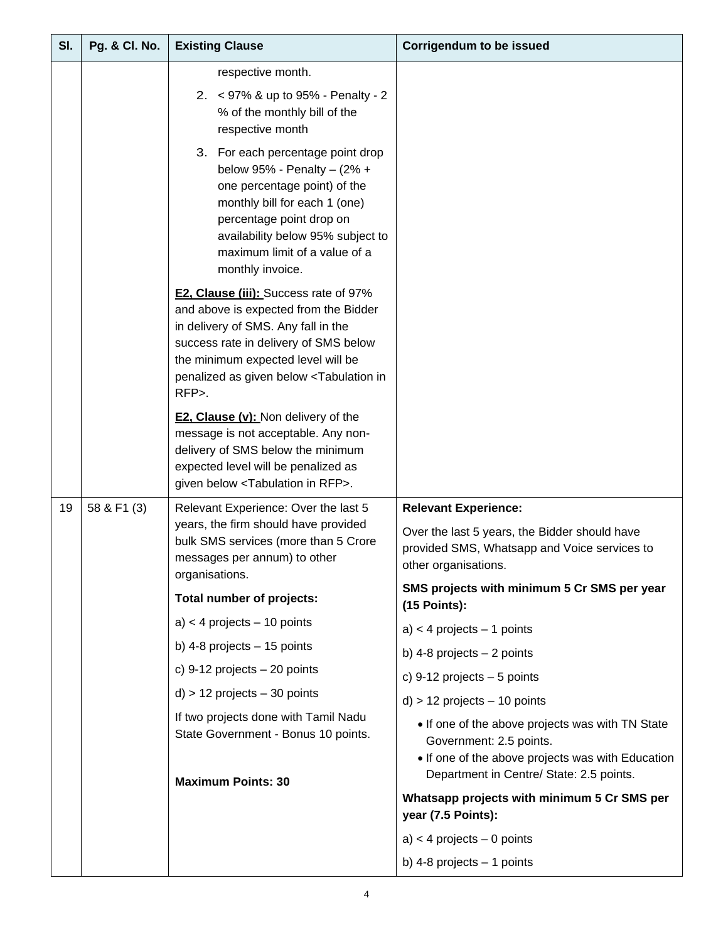| SI. | <b>Pg. &amp; Cl. No.</b> | <b>Existing Clause</b>                                                                                                                                                                                                                                                      | <b>Corrigendum to be issued</b>                                                                                                                                              |  |  |
|-----|--------------------------|-----------------------------------------------------------------------------------------------------------------------------------------------------------------------------------------------------------------------------------------------------------------------------|------------------------------------------------------------------------------------------------------------------------------------------------------------------------------|--|--|
|     |                          | respective month.<br>2. < 97% & up to 95% - Penalty - 2<br>% of the monthly bill of the<br>respective month                                                                                                                                                                 |                                                                                                                                                                              |  |  |
|     |                          | 3. For each percentage point drop<br>below 95% - Penalty - $(2\% +$<br>one percentage point) of the<br>monthly bill for each 1 (one)<br>percentage point drop on<br>availability below 95% subject to<br>maximum limit of a value of a<br>monthly invoice.                  |                                                                                                                                                                              |  |  |
|     |                          | E2, Clause (iii): Success rate of 97%<br>and above is expected from the Bidder<br>in delivery of SMS. Any fall in the<br>success rate in delivery of SMS below<br>the minimum expected level will be<br>penalized as given below <tabulation in<br="">RFP&gt;.</tabulation> |                                                                                                                                                                              |  |  |
|     |                          | <b>E2, Clause (v): Non delivery of the</b><br>message is not acceptable. Any non-<br>delivery of SMS below the minimum<br>expected level will be penalized as<br>given below <tabulation in="" rfp="">.</tabulation>                                                        |                                                                                                                                                                              |  |  |
| 19  | 58 & F1 (3)              | Relevant Experience: Over the last 5<br>years, the firm should have provided<br>bulk SMS services (more than 5 Crore<br>messages per annum) to other<br>organisations.                                                                                                      | <b>Relevant Experience:</b><br>Over the last 5 years, the Bidder should have<br>provided SMS, Whatsapp and Voice services to<br>other organisations.                         |  |  |
|     |                          | Total number of projects:                                                                                                                                                                                                                                                   | SMS projects with minimum 5 Cr SMS per year<br>$(15$ Points):                                                                                                                |  |  |
|     |                          | $a$ < 4 projects – 10 points                                                                                                                                                                                                                                                | $a$ ) < 4 projects - 1 points                                                                                                                                                |  |  |
|     |                          | b) 4-8 projects $-15$ points                                                                                                                                                                                                                                                | b) 4-8 projects $-2$ points                                                                                                                                                  |  |  |
|     |                          | c) $9-12$ projects $-20$ points                                                                                                                                                                                                                                             | c) 9-12 projects $-5$ points                                                                                                                                                 |  |  |
|     |                          | $d$ ) > 12 projects $-$ 30 points                                                                                                                                                                                                                                           | $d$ ) > 12 projects $-$ 10 points                                                                                                                                            |  |  |
|     |                          | If two projects done with Tamil Nadu<br>State Government - Bonus 10 points.<br><b>Maximum Points: 30</b>                                                                                                                                                                    | • If one of the above projects was with TN State<br>Government: 2.5 points.<br>• If one of the above projects was with Education<br>Department in Centre/ State: 2.5 points. |  |  |
|     |                          |                                                                                                                                                                                                                                                                             | Whatsapp projects with minimum 5 Cr SMS per<br>year (7.5 Points):                                                                                                            |  |  |
|     |                          |                                                                                                                                                                                                                                                                             | $a$ ) < 4 projects - 0 points                                                                                                                                                |  |  |
|     |                          |                                                                                                                                                                                                                                                                             | b) 4-8 projects $-1$ points                                                                                                                                                  |  |  |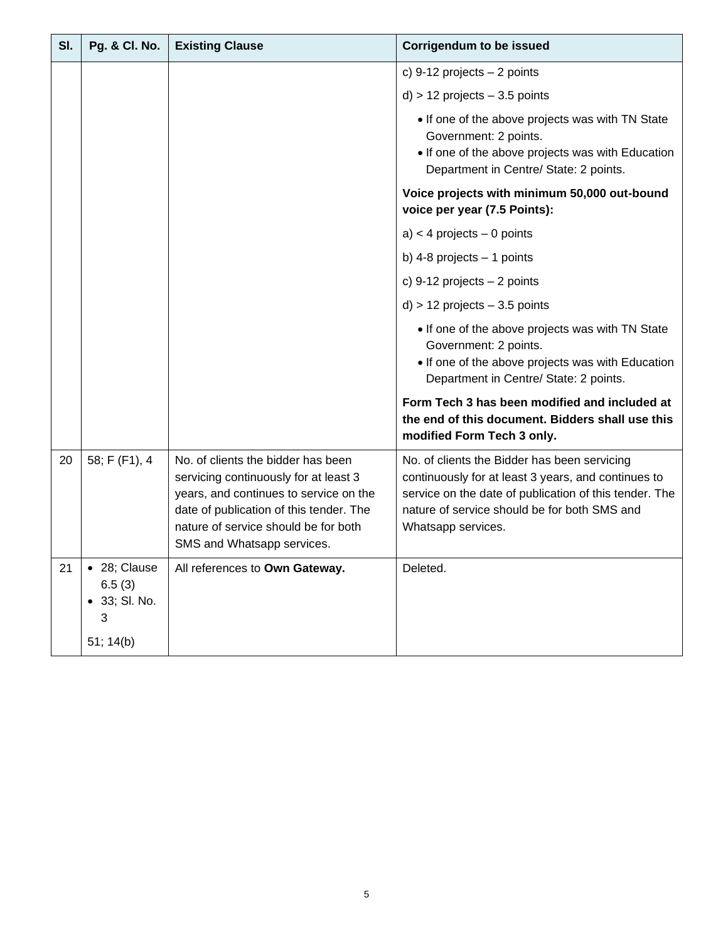| SI. | <b>Pg. &amp; Cl. No.</b>                                  | <b>Existing Clause</b>                                                                                                                                                                                                                 | <b>Corrigendum to be issued</b>                                                                                                                                                                                                     |
|-----|-----------------------------------------------------------|----------------------------------------------------------------------------------------------------------------------------------------------------------------------------------------------------------------------------------------|-------------------------------------------------------------------------------------------------------------------------------------------------------------------------------------------------------------------------------------|
|     |                                                           |                                                                                                                                                                                                                                        | c) 9-12 projects $-2$ points                                                                                                                                                                                                        |
|     |                                                           |                                                                                                                                                                                                                                        | $d$ ) > 12 projects $-3.5$ points                                                                                                                                                                                                   |
|     |                                                           |                                                                                                                                                                                                                                        | • If one of the above projects was with TN State<br>Government: 2 points.<br>• If one of the above projects was with Education<br>Department in Centre/ State: 2 points.                                                            |
|     |                                                           |                                                                                                                                                                                                                                        | Voice projects with minimum 50,000 out-bound<br>voice per year (7.5 Points):                                                                                                                                                        |
|     |                                                           |                                                                                                                                                                                                                                        | $a$ ) < 4 projects – 0 points                                                                                                                                                                                                       |
|     |                                                           |                                                                                                                                                                                                                                        | b) 4-8 projects $-1$ points                                                                                                                                                                                                         |
|     |                                                           |                                                                                                                                                                                                                                        | c) 9-12 projects $-2$ points                                                                                                                                                                                                        |
|     |                                                           |                                                                                                                                                                                                                                        | $d$ ) > 12 projects $-3.5$ points                                                                                                                                                                                                   |
|     |                                                           |                                                                                                                                                                                                                                        | • If one of the above projects was with TN State<br>Government: 2 points.<br>• If one of the above projects was with Education<br>Department in Centre/ State: 2 points.                                                            |
|     |                                                           |                                                                                                                                                                                                                                        | Form Tech 3 has been modified and included at<br>the end of this document. Bidders shall use this<br>modified Form Tech 3 only.                                                                                                     |
| 20  | 58; F (F1), 4                                             | No. of clients the bidder has been<br>servicing continuously for at least 3<br>years, and continues to service on the<br>date of publication of this tender. The<br>nature of service should be for both<br>SMS and Whatsapp services. | No. of clients the Bidder has been servicing<br>continuously for at least 3 years, and continues to<br>service on the date of publication of this tender. The<br>nature of service should be for both SMS and<br>Whatsapp services. |
| 21  | • 28; Clause<br>6.5(3)<br>• 33; SI. No.<br>3<br>51; 14(b) | All references to Own Gateway.                                                                                                                                                                                                         | Deleted.                                                                                                                                                                                                                            |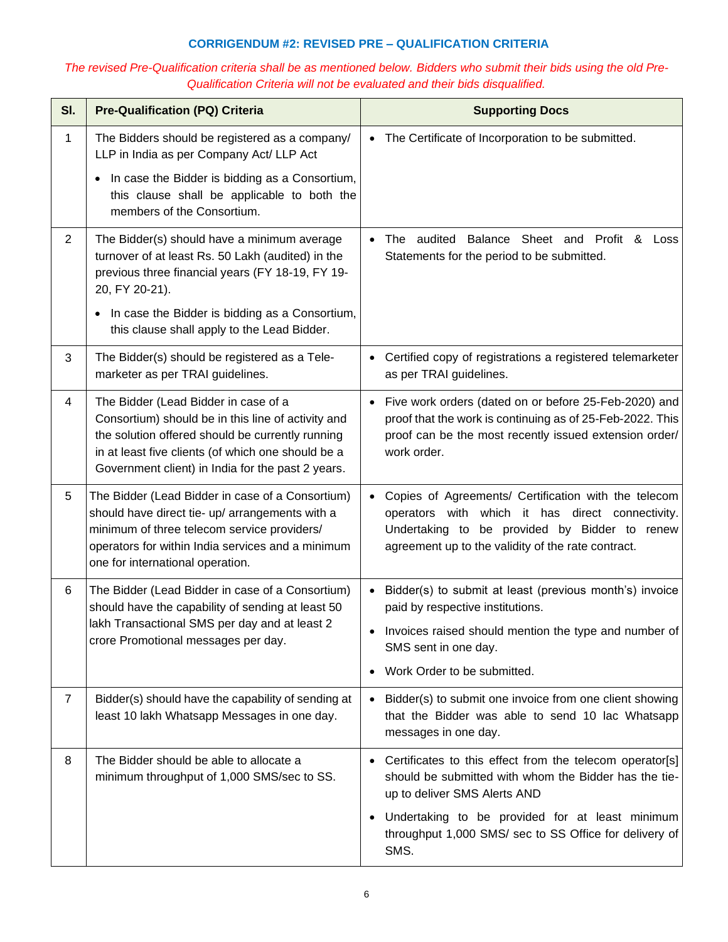## **CORRIGENDUM #2: REVISED PRE – QUALIFICATION CRITERIA**

# *The revised Pre-Qualification criteria shall be as mentioned below. Bidders who submit their bids using the old Pre-Qualification Criteria will not be evaluated and their bids disqualified.*

| SI.            | <b>Pre-Qualification (PQ) Criteria</b>                                                                                                                                                                                                                    | <b>Supporting Docs</b>                                                                                                                                                                                                       |
|----------------|-----------------------------------------------------------------------------------------------------------------------------------------------------------------------------------------------------------------------------------------------------------|------------------------------------------------------------------------------------------------------------------------------------------------------------------------------------------------------------------------------|
| 1              | The Bidders should be registered as a company/<br>LLP in India as per Company Act/ LLP Act                                                                                                                                                                | The Certificate of Incorporation to be submitted.                                                                                                                                                                            |
|                | In case the Bidder is bidding as a Consortium,<br>٠<br>this clause shall be applicable to both the<br>members of the Consortium.                                                                                                                          |                                                                                                                                                                                                                              |
| $\overline{2}$ | The Bidder(s) should have a minimum average<br>turnover of at least Rs. 50 Lakh (audited) in the<br>previous three financial years (FY 18-19, FY 19-<br>20, FY 20-21).                                                                                    | The audited Balance Sheet and Profit & Loss<br>$\bullet$<br>Statements for the period to be submitted.                                                                                                                       |
|                | In case the Bidder is bidding as a Consortium,<br>this clause shall apply to the Lead Bidder.                                                                                                                                                             |                                                                                                                                                                                                                              |
| 3              | The Bidder(s) should be registered as a Tele-<br>marketer as per TRAI guidelines.                                                                                                                                                                         | Certified copy of registrations a registered telemarketer<br>as per TRAI guidelines.                                                                                                                                         |
| 4              | The Bidder (Lead Bidder in case of a<br>Consortium) should be in this line of activity and<br>the solution offered should be currently running<br>in at least five clients (of which one should be a<br>Government client) in India for the past 2 years. | Five work orders (dated on or before 25-Feb-2020) and<br>proof that the work is continuing as of 25-Feb-2022. This<br>proof can be the most recently issued extension order/<br>work order.                                  |
| 5              | The Bidder (Lead Bidder in case of a Consortium)<br>should have direct tie- up/ arrangements with a<br>minimum of three telecom service providers/<br>operators for within India services and a minimum<br>one for international operation.               | Copies of Agreements/ Certification with the telecom<br>$\bullet$<br>operators with which it has direct connectivity.<br>Undertaking to be provided by Bidder to renew<br>agreement up to the validity of the rate contract. |
| 6              | The Bidder (Lead Bidder in case of a Consortium)<br>should have the capability of sending at least 50                                                                                                                                                     | Bidder(s) to submit at least (previous month's) invoice<br>paid by respective institutions.                                                                                                                                  |
|                | lakh Transactional SMS per day and at least 2<br>crore Promotional messages per day.                                                                                                                                                                      | • Invoices raised should mention the type and number of<br>SMS sent in one day.                                                                                                                                              |
|                |                                                                                                                                                                                                                                                           | Work Order to be submitted.                                                                                                                                                                                                  |
| $\overline{7}$ | Bidder(s) should have the capability of sending at<br>least 10 lakh Whatsapp Messages in one day.                                                                                                                                                         | Bidder(s) to submit one invoice from one client showing<br>that the Bidder was able to send 10 lac Whatsapp<br>messages in one day.                                                                                          |
| 8              | The Bidder should be able to allocate a<br>minimum throughput of 1,000 SMS/sec to SS.                                                                                                                                                                     | Certificates to this effect from the telecom operator[s]<br>should be submitted with whom the Bidder has the tie-<br>up to deliver SMS Alerts AND                                                                            |
|                |                                                                                                                                                                                                                                                           | Undertaking to be provided for at least minimum<br>throughput 1,000 SMS/ sec to SS Office for delivery of<br>SMS.                                                                                                            |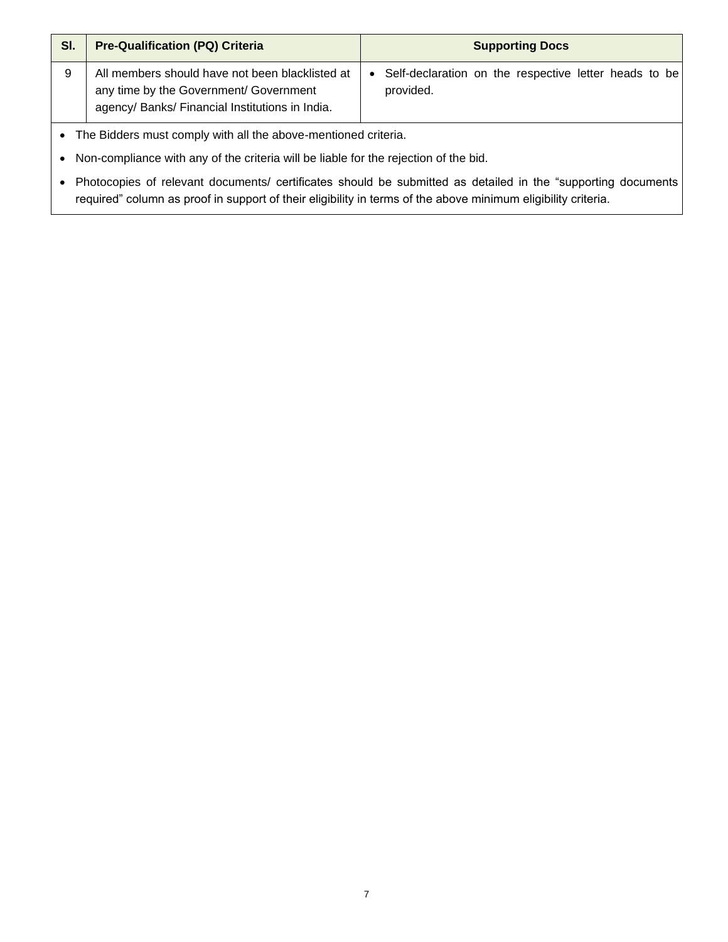| SI. | <b>Pre-Qualification (PQ) Criteria</b>                                                                                                       | <b>Supporting Docs</b>                                             |  |  |  |  |  |  |
|-----|----------------------------------------------------------------------------------------------------------------------------------------------|--------------------------------------------------------------------|--|--|--|--|--|--|
| 9   | All members should have not been blacklisted at<br>any time by the Government/ Government<br>agency/ Banks/ Financial Institutions in India. | Self-declaration on the respective letter heads to be<br>provided. |  |  |  |  |  |  |
|     | The Bidders must comply with all the above-mentioned criteria.                                                                               |                                                                    |  |  |  |  |  |  |

• Non-compliance with any of the criteria will be liable for the rejection of the bid.

• Photocopies of relevant documents/ certificates should be submitted as detailed in the "supporting documents required" column as proof in support of their eligibility in terms of the above minimum eligibility criteria.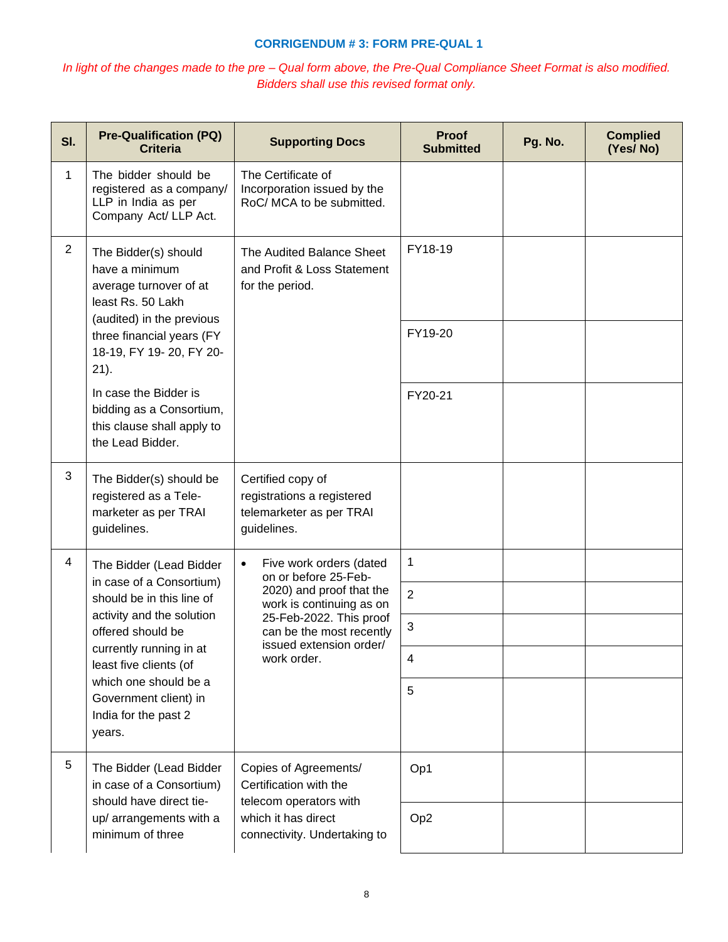### **CORRIGENDUM # 3: FORM PRE-QUAL 1**

# *In light of the changes made to the pre – Qual form above, the Pre-Qual Compliance Sheet Format is also modified. Bidders shall use this revised format only.*

| SI.         | <b>Pre-Qualification (PQ)</b><br><b>Criteria</b>                                                                                                             | <b>Supporting Docs</b>                                                                     | Proof<br><b>Submitted</b> | Pg. No. | <b>Complied</b><br>(Yes/No) |
|-------------|--------------------------------------------------------------------------------------------------------------------------------------------------------------|--------------------------------------------------------------------------------------------|---------------------------|---------|-----------------------------|
| $\mathbf 1$ | The bidder should be<br>registered as a company/<br>LLP in India as per<br>Company Act/ LLP Act.                                                             | The Certificate of<br>Incorporation issued by the<br>RoC/ MCA to be submitted.             |                           |         |                             |
| 2           | The Bidder(s) should<br>have a minimum<br>average turnover of at<br>least Rs. 50 Lakh                                                                        | The Audited Balance Sheet<br>and Profit & Loss Statement<br>for the period.                | FY18-19                   |         |                             |
|             | (audited) in the previous<br>three financial years (FY<br>18-19, FY 19-20, FY 20-<br>$21$ ).                                                                 |                                                                                            | FY19-20                   |         |                             |
|             | In case the Bidder is<br>bidding as a Consortium,<br>this clause shall apply to<br>the Lead Bidder.                                                          |                                                                                            | FY20-21                   |         |                             |
| 3           | The Bidder(s) should be<br>registered as a Tele-<br>marketer as per TRAI<br>guidelines.                                                                      | Certified copy of<br>registrations a registered<br>telemarketer as per TRAI<br>guidelines. |                           |         |                             |
| 4           | The Bidder (Lead Bidder                                                                                                                                      | Five work orders (dated<br>$\bullet$<br>on or before 25-Feb-                               | 1                         |         |                             |
|             | in case of a Consortium)<br>should be in this line of<br>activity and the solution<br>offered should be<br>currently running in at<br>least five clients (of | 2020) and proof that the<br>work is continuing as on                                       | $\overline{2}$            |         |                             |
|             |                                                                                                                                                              | 25-Feb-2022. This proof<br>can be the most recently<br>issued extension order/             | 3                         |         |                             |
|             |                                                                                                                                                              | work order.                                                                                | 4                         |         |                             |
|             | which one should be a<br>Government client) in<br>India for the past 2<br>years.                                                                             |                                                                                            | 5                         |         |                             |
| 5           | The Bidder (Lead Bidder<br>in case of a Consortium)<br>should have direct tie-                                                                               | Copies of Agreements/<br>Certification with the<br>telecom operators with                  | Op1                       |         |                             |
|             | up/ arrangements with a<br>minimum of three                                                                                                                  | which it has direct<br>connectivity. Undertaking to                                        | Op <sub>2</sub>           |         |                             |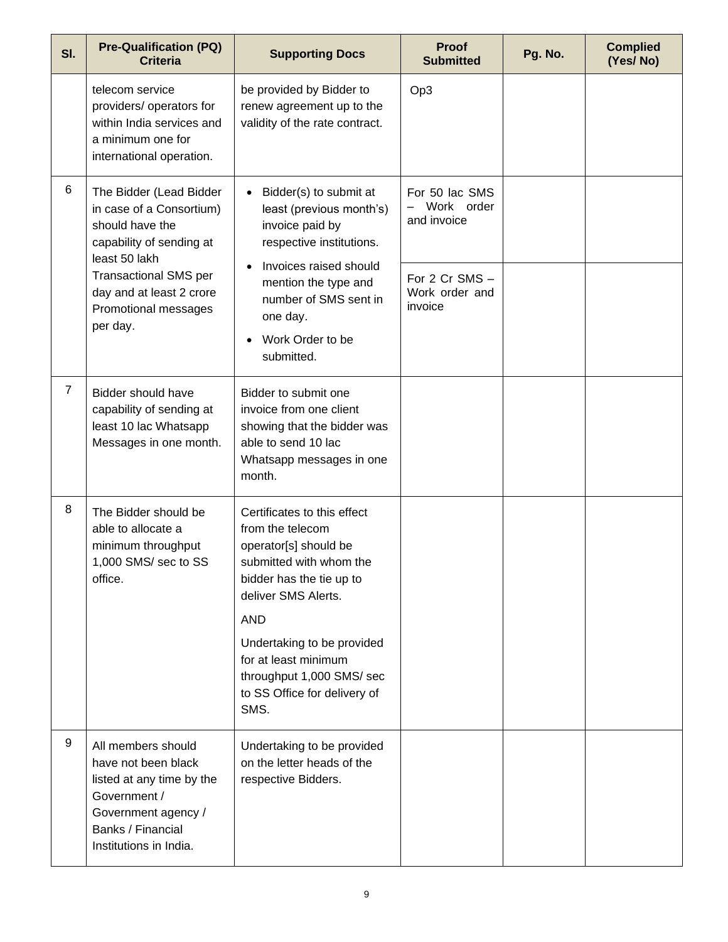| SI.            | <b>Pre-Qualification (PQ)</b><br><b>Criteria</b>                                                                                                             | <b>Supporting Docs</b>                                                                                                                                               | Proof<br><b>Submitted</b>                   | Pg. No. | <b>Complied</b><br>(Yes/No) |
|----------------|--------------------------------------------------------------------------------------------------------------------------------------------------------------|----------------------------------------------------------------------------------------------------------------------------------------------------------------------|---------------------------------------------|---------|-----------------------------|
|                | telecom service<br>providers/ operators for<br>within India services and<br>a minimum one for<br>international operation.                                    | be provided by Bidder to<br>renew agreement up to the<br>validity of the rate contract.                                                                              | Op3                                         |         |                             |
| 6              | The Bidder (Lead Bidder<br>in case of a Consortium)<br>should have the<br>capability of sending at<br>least 50 lakh                                          | Bidder(s) to submit at<br>$\bullet$<br>least (previous month's)<br>invoice paid by<br>respective institutions.                                                       | For 50 lac SMS<br>Work order<br>and invoice |         |                             |
|                | <b>Transactional SMS per</b><br>day and at least 2 crore<br>Promotional messages<br>per day.                                                                 | Invoices raised should<br>For 2 Cr SMS -<br>mention the type and<br>Work order and<br>number of SMS sent in<br>invoice<br>one day.<br>Work Order to be<br>submitted. |                                             |         |                             |
| $\overline{7}$ | <b>Bidder should have</b><br>capability of sending at<br>least 10 lac Whatsapp<br>Messages in one month.                                                     | Bidder to submit one<br>invoice from one client<br>showing that the bidder was<br>able to send 10 lac<br>Whatsapp messages in one<br>month.                          |                                             |         |                             |
| 8              | The Bidder should be<br>able to allocate a<br>minimum throughput<br>1,000 SMS/ sec to SS<br>office.                                                          | Certificates to this effect<br>from the telecom<br>operator[s] should be<br>submitted with whom the<br>bidder has the tie up to<br>deliver SMS Alerts.<br><b>AND</b> |                                             |         |                             |
|                |                                                                                                                                                              | Undertaking to be provided<br>for at least minimum<br>throughput 1,000 SMS/ sec<br>to SS Office for delivery of<br>SMS.                                              |                                             |         |                             |
| 9              | All members should<br>have not been black<br>listed at any time by the<br>Government /<br>Government agency /<br>Banks / Financial<br>Institutions in India. | Undertaking to be provided<br>on the letter heads of the<br>respective Bidders.                                                                                      |                                             |         |                             |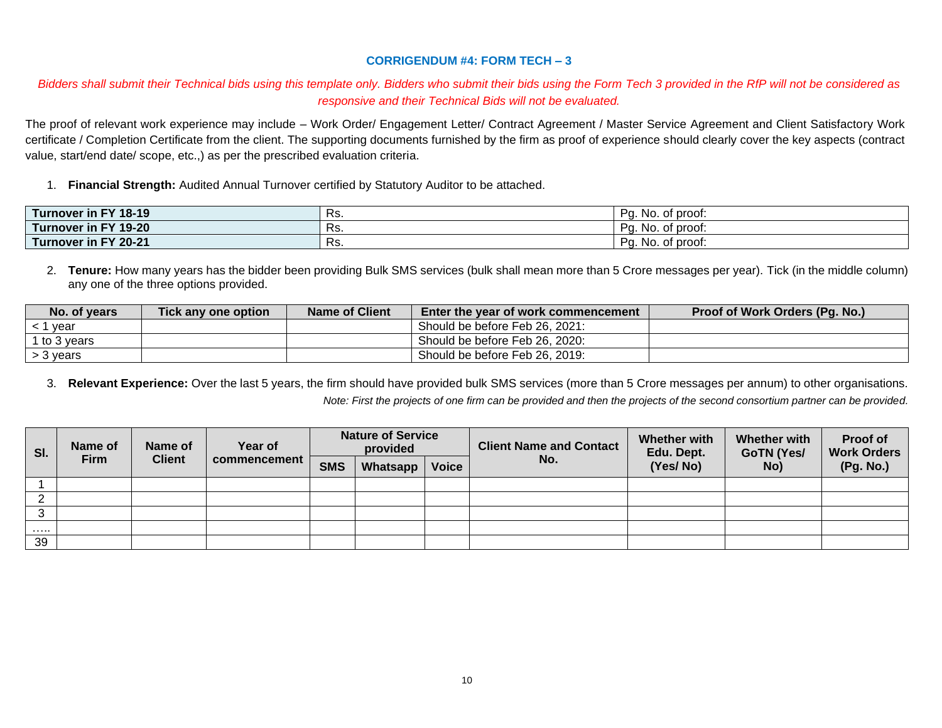## **CORRIGENDUM #4: FORM TECH – 3**

## *Bidders shall submit their Technical bids using this template only. Bidders who submit their bids using the Form Tech 3 provided in the RfP will not be considered as responsive and their Technical Bids will not be evaluated.*

The proof of relevant work experience may include – Work Order/ Engagement Letter/ Contract Agreement / Master Service Agreement and Client Satisfactory Work certificate / Completion Certificate from the client. The supporting documents furnished by the firm as proof of experience should clearly cover the key aspects (contract value, start/end date/ scope, etc.,) as per the prescribed evaluation criteria.

1. **Financial Strength:** Audited Annual Turnover certified by Statutory Auditor to be attached.

| FY 18-19<br>Turnover<br>in F | NJ.  | Pc.<br>. of proof:<br>No. |
|------------------------------|------|---------------------------|
| Turnover<br>FY 19-20<br>in I | .כת  | P∩<br>of proof:<br>-No    |
| in FY 20-21<br>Turnover      | ר ס. | Po<br>No. of proof:<br>ч. |

2. **Tenure:** How many years has the bidder been providing Bulk SMS services (bulk shall mean more than 5 Crore messages per year). Tick (in the middle column) any one of the three options provided.

| No. of years | Tick any one option | <b>Name of Client</b> | Enter the year of work commencement | Proof of Work Orders (Pg. No.) |
|--------------|---------------------|-----------------------|-------------------------------------|--------------------------------|
| year         |                     |                       | Should be before Feb 26, 2021:      |                                |
| 1 to 3 vears |                     |                       | Should be before Feb 26, 2020:      |                                |
| ⋅ 3 vears ·  |                     |                       | Should be before Feb 26, 2019:      |                                |

3. **Relevant Experience:** Over the last 5 years, the firm should have provided bulk SMS services (more than 5 Crore messages per annum) to other organisations. *Note: First the projects of one firm can be provided and then the projects of the second consortium partner can be provided.*

| SI. | Name of<br>Name of<br><b>Client</b><br>Firm | Year of | <b>Nature of Service</b><br>provided |            |          | <b>Client Name and Contact</b> | <b>Whether with</b><br>Edu. Dept. | <b>Whether with</b><br><b>GoTN (Yes/</b> | Proof of<br><b>Work Orders</b> |           |
|-----|---------------------------------------------|---------|--------------------------------------|------------|----------|--------------------------------|-----------------------------------|------------------------------------------|--------------------------------|-----------|
|     |                                             |         | commencement                         | <b>SMS</b> | Whatsapp | <b>Voice</b>                   | No.                               | (Yes/No)                                 | No)                            | (Pg. No.) |
|     |                                             |         |                                      |            |          |                                |                                   |                                          |                                |           |
|     |                                             |         |                                      |            |          |                                |                                   |                                          |                                |           |
| ◡   |                                             |         |                                      |            |          |                                |                                   |                                          |                                |           |
| .   |                                             |         |                                      |            |          |                                |                                   |                                          |                                |           |
| 39  |                                             |         |                                      |            |          |                                |                                   |                                          |                                |           |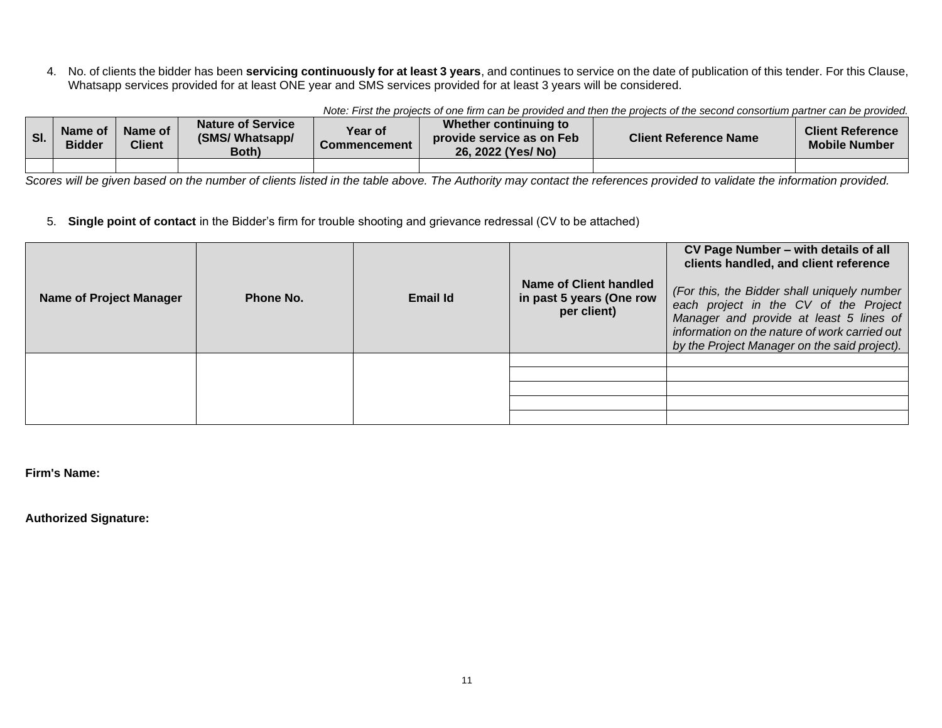4. No. of clients the bidder has been **servicing continuously for at least 3 years**, and continues to service on the date of publication of this tender. For this Clause, Whatsapp services provided for at least ONE year and SMS services provided for at least 3 years will be considered.

| SI. | Name of<br><b>Bidder</b> | Name of<br>Client | <b>Nature of Service</b><br>(SMS/Whatsapp/<br>Both) | Year of<br>Commencement | Whether continuing to<br>provide service as on Feb<br>26. 2022 (Yes/No) | <b>Client Reference Name</b> | <b>Client Reference</b><br><b>Mobile Number</b> |
|-----|--------------------------|-------------------|-----------------------------------------------------|-------------------------|-------------------------------------------------------------------------|------------------------------|-------------------------------------------------|
|     |                          |                   |                                                     |                         |                                                                         |                              |                                                 |

*Note: First the projects of one firm can be provided and then the projects of the second consortium partner can be provided.*

*Scores will be given based on the number of clients listed in the table above. The Authority may contact the references provided to validate the information provided.*

### 5. **Single point of contact** in the Bidder's firm for trouble shooting and grievance redressal (CV to be attached)

| <b>Name of Project Manager</b> | Phone No. | Email Id | Name of Client handled<br>in past 5 years (One row<br>per client) | CV Page Number - with details of all<br>clients handled, and client reference<br>(For this, the Bidder shall uniquely number<br>each project in the CV of the Project<br>Manager and provide at least 5 lines of<br>information on the nature of work carried out<br>by the Project Manager on the said project). |
|--------------------------------|-----------|----------|-------------------------------------------------------------------|-------------------------------------------------------------------------------------------------------------------------------------------------------------------------------------------------------------------------------------------------------------------------------------------------------------------|
|                                |           |          |                                                                   |                                                                                                                                                                                                                                                                                                                   |
|                                |           |          |                                                                   |                                                                                                                                                                                                                                                                                                                   |
|                                |           |          |                                                                   |                                                                                                                                                                                                                                                                                                                   |
|                                |           |          |                                                                   |                                                                                                                                                                                                                                                                                                                   |

**Firm's Name:**

**Authorized Signature:**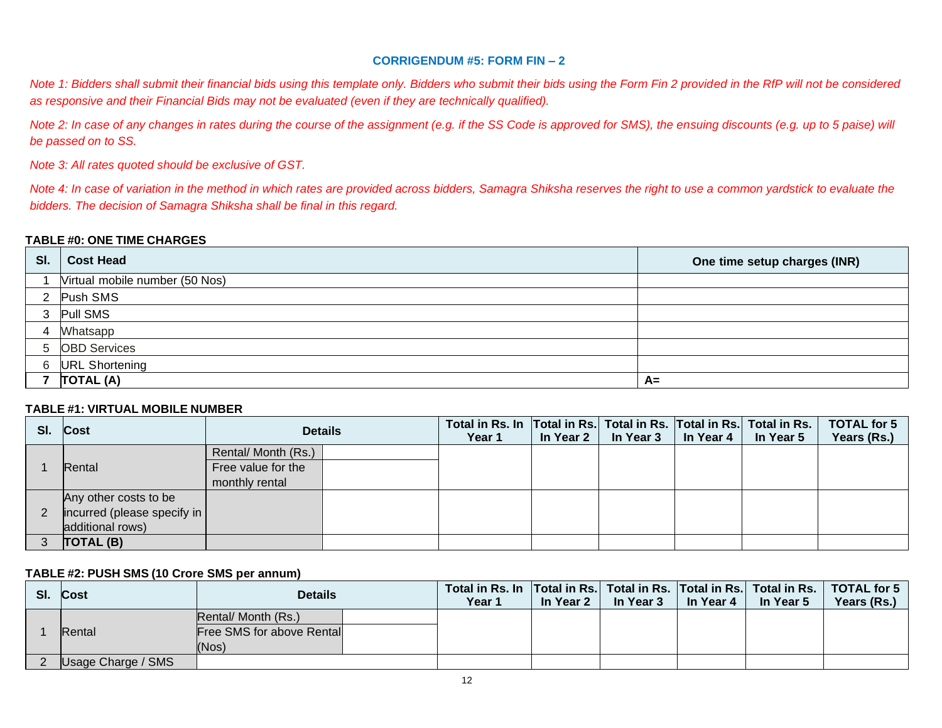## **CORRIGENDUM #5: FORM FIN – 2**

*Note 1: Bidders shall submit their financial bids using this template only. Bidders who submit their bids using the Form Fin 2 provided in the RfP will not be considered as responsive and their Financial Bids may not be evaluated (even if they are technically qualified).*

*Note 2: In case of any changes in rates during the course of the assignment (e.g. if the SS Code is approved for SMS), the ensuing discounts (e.g. up to 5 paise) will be passed on to SS.* 

*Note 3: All rates quoted should be exclusive of GST.*

*Note 4: In case of variation in the method in which rates are provided across bidders, Samagra Shiksha reserves the right to use a common yardstick to evaluate the bidders. The decision of Samagra Shiksha shall be final in this regard.*

#### **TABLE #0: ONE TIME CHARGES**

| SI. | <b>Cost Head</b>               | One time setup charges (INR) |
|-----|--------------------------------|------------------------------|
|     | Virtual mobile number (50 Nos) |                              |
|     | 2 Push SMS                     |                              |
| 3   | <b>Pull SMS</b>                |                              |
|     | <b>Whatsapp</b>                |                              |
|     | 5 OBD Services                 |                              |
|     | 6 URL Shortening               |                              |
|     | TOTAL (A)                      | $A=$                         |

#### **TABLE #1: VIRTUAL MOBILE NUMBER**

| SI. | Cost                                |                     | <b>Details</b> | Total in Rs. In Total in Rs. Total in Rs. Total in Rs. Total in Rs.<br>Year 1 | In Year 2 | In Year 3 | In Year 4 | In Year 5 | <b>TOTAL for 5</b><br>Years (Rs.) |
|-----|-------------------------------------|---------------------|----------------|-------------------------------------------------------------------------------|-----------|-----------|-----------|-----------|-----------------------------------|
|     |                                     | Rental/ Month (Rs.) |                |                                                                               |           |           |           |           |                                   |
|     | Rental                              | Free value for the  |                |                                                                               |           |           |           |           |                                   |
|     |                                     | monthly rental      |                |                                                                               |           |           |           |           |                                   |
|     | Any other costs to be               |                     |                |                                                                               |           |           |           |           |                                   |
|     | $ $ incurred (please specify in $ $ |                     |                |                                                                               |           |           |           |           |                                   |
|     | additional rows)                    |                     |                |                                                                               |           |           |           |           |                                   |
|     | <b>TOTAL (B)</b>                    |                     |                |                                                                               |           |           |           |           |                                   |

#### **TABLE #2: PUSH SMS (10 Crore SMS per annum)**

| SI. | <b>Cost</b>        | <b>Details</b>                                                   | Total in Rs. In   Total in Rs.   Total in Rs.   Total in Rs.   Total in Rs.   TOTAL for 5 |           |           |           |           |             |
|-----|--------------------|------------------------------------------------------------------|-------------------------------------------------------------------------------------------|-----------|-----------|-----------|-----------|-------------|
|     |                    |                                                                  | Year 1                                                                                    | In Year 2 | In Year 3 | In Year 4 | In Year 5 | Years (Rs.) |
|     | Rental             | Rental/ Month (Rs.)<br><b>Free SMS for above Rental</b><br>(Nos) |                                                                                           |           |           |           |           |             |
|     | Usage Charge / SMS |                                                                  |                                                                                           |           |           |           |           |             |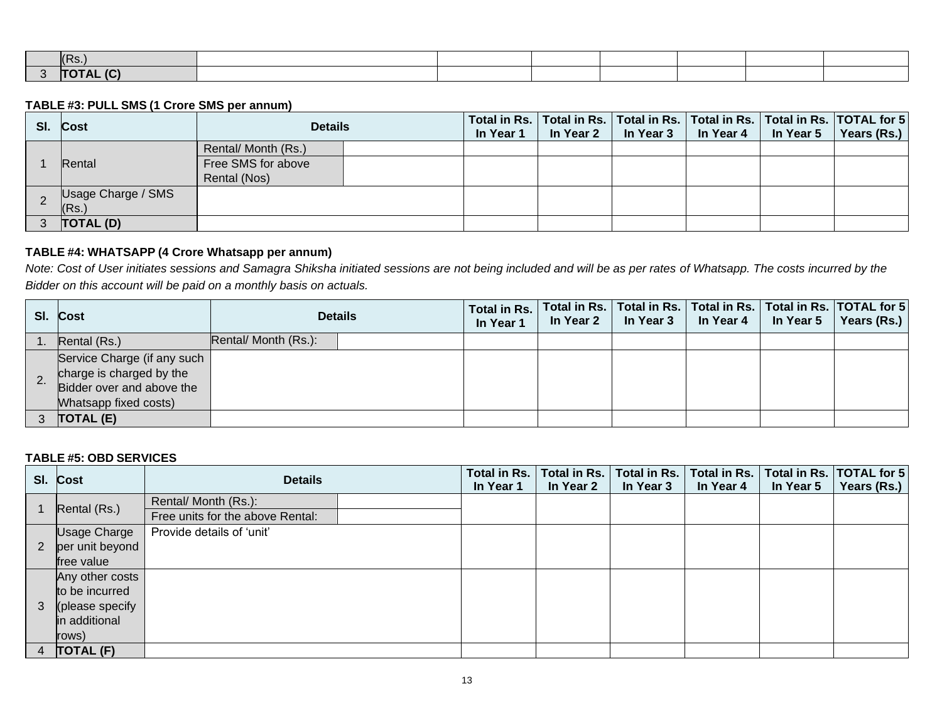| ، حص                           |  |  |  |  |
|--------------------------------|--|--|--|--|
| $\sim$<br>---<br><b>ITATAL</b> |  |  |  |  |

### **TABLE #3: PULL SMS (1 Crore SMS per annum)**

| SI. | <b>Cost</b>                 | <b>Details</b>                     | In Year 1 | In Year 2 | In Year 3 | In Year 4 | In Year 5 | Total in Rs.   Total in Rs.   Total in Rs.   Total in Rs.   Total in Rs.   TOTAL for 5<br>Years (Rs.) |
|-----|-----------------------------|------------------------------------|-----------|-----------|-----------|-----------|-----------|-------------------------------------------------------------------------------------------------------|
|     | Rental                      | Rental/ Month (Rs.)                |           |           |           |           |           |                                                                                                       |
|     |                             | Free SMS for above<br>Rental (Nos) |           |           |           |           |           |                                                                                                       |
|     | Usage Charge / SMS<br>(Rs.) |                                    |           |           |           |           |           |                                                                                                       |
|     | TOTAL (D)                   |                                    |           |           |           |           |           |                                                                                                       |

## **TABLE #4: WHATSAPP (4 Crore Whatsapp per annum)**

*Note: Cost of User initiates sessions and Samagra Shiksha initiated sessions are not being included and will be as per rates of Whatsapp. The costs incurred by the Bidder on this account will be paid on a monthly basis on actuals.*

| SI. Cost                                                                                                            |                      | <b>Details</b> | Total in Rs.<br>In Year 1 | In Year 2 | In Year 3 | Total in Rs.   Total in Rs.   Total in Rs.   Total in Rs.   TOTAL for 5 <br>In Year 4 | In Year 5 | Years (Rs.) |
|---------------------------------------------------------------------------------------------------------------------|----------------------|----------------|---------------------------|-----------|-----------|---------------------------------------------------------------------------------------|-----------|-------------|
| Rental (Rs.)                                                                                                        | Rental/ Month (Rs.): |                |                           |           |           |                                                                                       |           |             |
| Service Charge (if any such<br>charge is charged by the<br>Bidder over and above the<br><b>Mhatsapp fixed costs</b> |                      |                |                           |           |           |                                                                                       |           |             |
| TOTAL (E)                                                                                                           |                      |                |                           |           |           |                                                                                       |           |             |

## **TABLE #5: OBD SERVICES**

|                | SI. Cost            | <b>Details</b>                   | Total in Rs.<br>In Year 1 | Total in Rs.<br>In Year 2 | Total in Rs.<br>In Year 3 | Total in Rs.<br>In Year 4 | Total in Rs.<br>In Year 5 | <b>TOTAL</b> for 5<br>Years (Rs.) |
|----------------|---------------------|----------------------------------|---------------------------|---------------------------|---------------------------|---------------------------|---------------------------|-----------------------------------|
|                |                     | Rental/ Month (Rs.):             |                           |                           |                           |                           |                           |                                   |
|                | Rental (Rs.)        | Free units for the above Rental: |                           |                           |                           |                           |                           |                                   |
|                | <b>Usage Charge</b> | Provide details of 'unit'        |                           |                           |                           |                           |                           |                                   |
| 2              | per unit beyond     |                                  |                           |                           |                           |                           |                           |                                   |
|                | free value          |                                  |                           |                           |                           |                           |                           |                                   |
|                | Any other costs     |                                  |                           |                           |                           |                           |                           |                                   |
|                | to be incurred      |                                  |                           |                           |                           |                           |                           |                                   |
| 3              | (please specify     |                                  |                           |                           |                           |                           |                           |                                   |
|                | in additional       |                                  |                           |                           |                           |                           |                           |                                   |
|                | rows)               |                                  |                           |                           |                           |                           |                           |                                   |
| $\overline{4}$ | TOTAL (F)           |                                  |                           |                           |                           |                           |                           |                                   |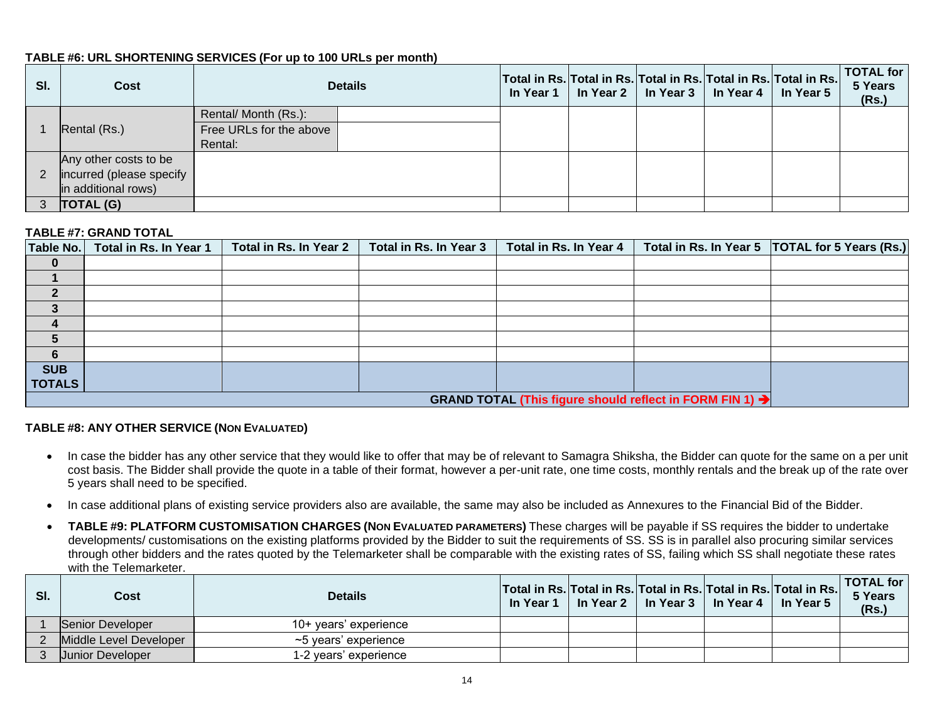## **TABLE #6: URL SHORTENING SERVICES (For up to 100 URLs per month)**

| SI. | Cost                     |                         | <b>Details</b> | In Year 1 | Total in Rs. Total in Rs. Total in Rs. Total in Rs. Total in Rs. | In Year 2   In Year 3   In Year 4 | In Year 5 | TOTAL for<br>5 Years<br>(Rs.) |
|-----|--------------------------|-------------------------|----------------|-----------|------------------------------------------------------------------|-----------------------------------|-----------|-------------------------------|
|     |                          | Rental/ Month (Rs.):    |                |           |                                                                  |                                   |           |                               |
|     | Rental (Rs.)             | Free URLs for the above |                |           |                                                                  |                                   |           |                               |
|     |                          | Rental:                 |                |           |                                                                  |                                   |           |                               |
|     | Any other costs to be    |                         |                |           |                                                                  |                                   |           |                               |
|     | incurred (please specify |                         |                |           |                                                                  |                                   |           |                               |
|     | in additional rows)      |                         |                |           |                                                                  |                                   |           |                               |
|     | <b>TOTAL (G)</b>         |                         |                |           |                                                                  |                                   |           |                               |

### **TABLE #7: GRAND TOTAL**

| <b>Table No.</b> | Total in Rs. In Year 1                                               | Total in Rs. In Year 2 | Total in Rs. In Year 3 | Total in Rs. In Year 4 |  | Total in Rs. In Year 5   TOTAL for 5 Years (Rs.) |  |  |  |  |  |
|------------------|----------------------------------------------------------------------|------------------------|------------------------|------------------------|--|--------------------------------------------------|--|--|--|--|--|
| $\bf{0}$         |                                                                      |                        |                        |                        |  |                                                  |  |  |  |  |  |
|                  |                                                                      |                        |                        |                        |  |                                                  |  |  |  |  |  |
|                  |                                                                      |                        |                        |                        |  |                                                  |  |  |  |  |  |
|                  |                                                                      |                        |                        |                        |  |                                                  |  |  |  |  |  |
|                  |                                                                      |                        |                        |                        |  |                                                  |  |  |  |  |  |
| 5                |                                                                      |                        |                        |                        |  |                                                  |  |  |  |  |  |
| 6                |                                                                      |                        |                        |                        |  |                                                  |  |  |  |  |  |
| <b>SUB</b>       |                                                                      |                        |                        |                        |  |                                                  |  |  |  |  |  |
| <b>TOTALS</b>    |                                                                      |                        |                        |                        |  |                                                  |  |  |  |  |  |
|                  | GRAND TOTAL (This figure should reflect in FORM FIN 1) $\rightarrow$ |                        |                        |                        |  |                                                  |  |  |  |  |  |

## **TABLE #8: ANY OTHER SERVICE (NON EVALUATED)**

- In case the bidder has any other service that they would like to offer that may be of relevant to Samagra Shiksha, the Bidder can quote for the same on a per unit cost basis. The Bidder shall provide the quote in a table of their format, however a per-unit rate, one time costs, monthly rentals and the break up of the rate over 5 years shall need to be specified.
- In case additional plans of existing service providers also are available, the same may also be included as Annexures to the Financial Bid of the Bidder.
- **TABLE #9: PLATFORM CUSTOMISATION CHARGES (NON EVALUATED PARAMETERS)** These charges will be payable if SS requires the bidder to undertake developments/ customisations on the existing platforms provided by the Bidder to suit the requirements of SS. SS is in parallel also procuring similar services through other bidders and the rates quoted by the Telemarketer shall be comparable with the existing rates of SS, failing which SS shall negotiate these rates with the Telemarketer

| SI. | Cost                    | <b>Details</b>        | In Year 1 | Total in Rs. Total in Rs. Total in Rs. Total in Rs. Total in Rs.<br>In Year 2 l | ∣ In Year 3 ∣ In Year 4 | In Year 5 | TOTAL for  <br>5 Years<br>(Rs.) |
|-----|-------------------------|-----------------------|-----------|---------------------------------------------------------------------------------|-------------------------|-----------|---------------------------------|
|     | <b>Senior Developer</b> | 10+ years' experience |           |                                                                                 |                         |           |                                 |
|     | Middle Level Developer  | ~5 vears' experience  |           |                                                                                 |                         |           |                                 |
|     | Uunior Developer        | 1-2 years' experience |           |                                                                                 |                         |           |                                 |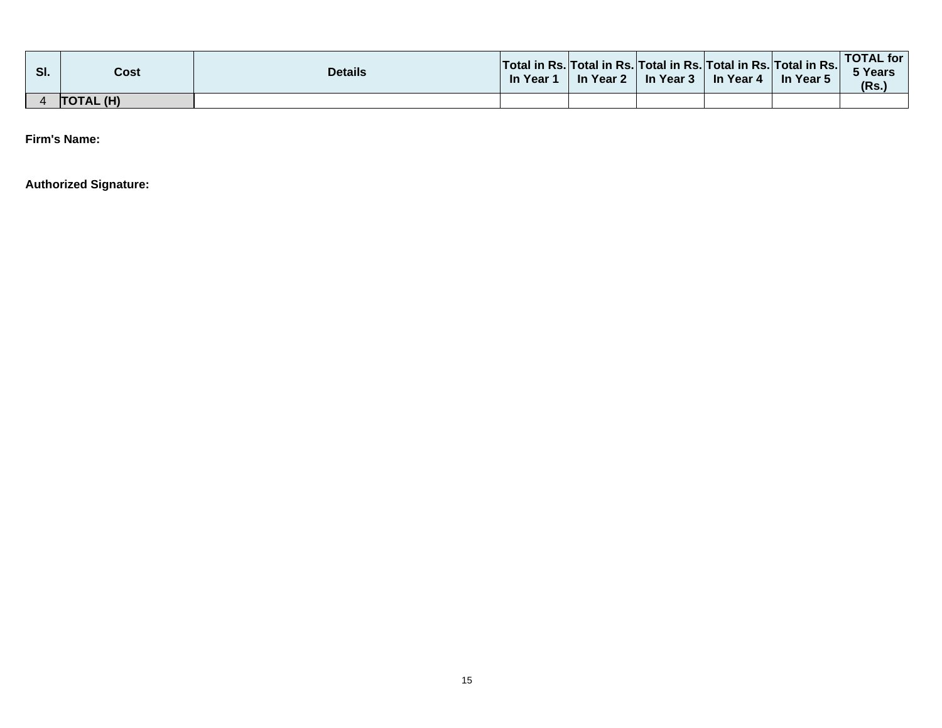| SI. | Cost      | <b>Details</b> | Total in Rs. Total in Rs. Total in Rs. Total in Rs. Total in Rs. <br>In Year | In Year 2 | In Year 3 | In Year 4 | In Year 5 | <b>TOTAL for</b><br><b>TYears</b><br>(Rs) |
|-----|-----------|----------------|------------------------------------------------------------------------------|-----------|-----------|-----------|-----------|-------------------------------------------|
|     | TOTAL (H) |                |                                                                              |           |           |           |           |                                           |

**Firm's Name:**

**Authorized Signature:**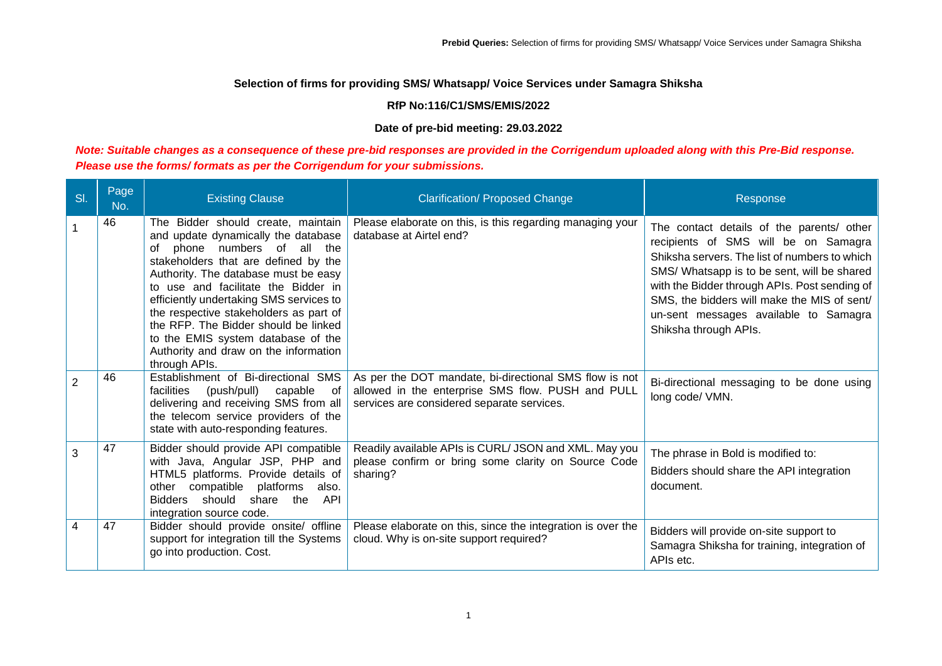### **RfP No:116/C1/SMS/EMIS/2022**

#### **Date of pre-bid meeting: 29.03.2022**

## *Note: Suitable changes as a consequence of these pre-bid responses are provided in the Corrigendum uploaded along with this Pre-Bid response. Please use the forms/ formats as per the Corrigendum for your submissions.*

| SI.            | Page<br>No. | <b>Existing Clause</b>                                                                                                                                                                                                                                                                                                                                                                                                                                          | <b>Clarification/ Proposed Change</b>                                                                                                                     | Response                                                                                                                                                                                                                                                                                                                                            |
|----------------|-------------|-----------------------------------------------------------------------------------------------------------------------------------------------------------------------------------------------------------------------------------------------------------------------------------------------------------------------------------------------------------------------------------------------------------------------------------------------------------------|-----------------------------------------------------------------------------------------------------------------------------------------------------------|-----------------------------------------------------------------------------------------------------------------------------------------------------------------------------------------------------------------------------------------------------------------------------------------------------------------------------------------------------|
|                | 46          | The Bidder should create, maintain<br>and update dynamically the database<br>phone numbers of all the<br>of<br>stakeholders that are defined by the<br>Authority. The database must be easy<br>to use and facilitate the Bidder in<br>efficiently undertaking SMS services to<br>the respective stakeholders as part of<br>the RFP. The Bidder should be linked<br>to the EMIS system database of the<br>Authority and draw on the information<br>through APIs. | Please elaborate on this, is this regarding managing your<br>database at Airtel end?                                                                      | The contact details of the parents/ other<br>recipients of SMS will be on Samagra<br>Shiksha servers. The list of numbers to which<br>SMS/ Whatsapp is to be sent, will be shared<br>with the Bidder through APIs. Post sending of<br>SMS, the bidders will make the MIS of sent/<br>un-sent messages available to Samagra<br>Shiksha through APIs. |
| $\overline{2}$ | 46          | Establishment of Bi-directional SMS<br>facilities<br>(push/pull)<br>capable<br>of<br>delivering and receiving SMS from all<br>the telecom service providers of the<br>state with auto-responding features.                                                                                                                                                                                                                                                      | As per the DOT mandate, bi-directional SMS flow is not<br>allowed in the enterprise SMS flow. PUSH and PULL<br>services are considered separate services. | Bi-directional messaging to be done using<br>long code/ VMN.                                                                                                                                                                                                                                                                                        |
| 3              | 47          | Bidder should provide API compatible<br>with Java, Angular JSP, PHP and<br>HTML5 platforms. Provide details of<br>compatible<br>platforms<br>also.<br>other<br>Bidders should share<br>the<br>API<br>integration source code.                                                                                                                                                                                                                                   | Readily available APIs is CURL/ JSON and XML. May you<br>please confirm or bring some clarity on Source Code<br>sharing?                                  | The phrase in Bold is modified to:<br>Bidders should share the API integration<br>document.                                                                                                                                                                                                                                                         |
| 4              | 47          | Bidder should provide onsite/ offline<br>support for integration till the Systems<br>go into production. Cost.                                                                                                                                                                                                                                                                                                                                                  | Please elaborate on this, since the integration is over the<br>cloud. Why is on-site support required?                                                    | Bidders will provide on-site support to<br>Samagra Shiksha for training, integration of<br>APIs etc.                                                                                                                                                                                                                                                |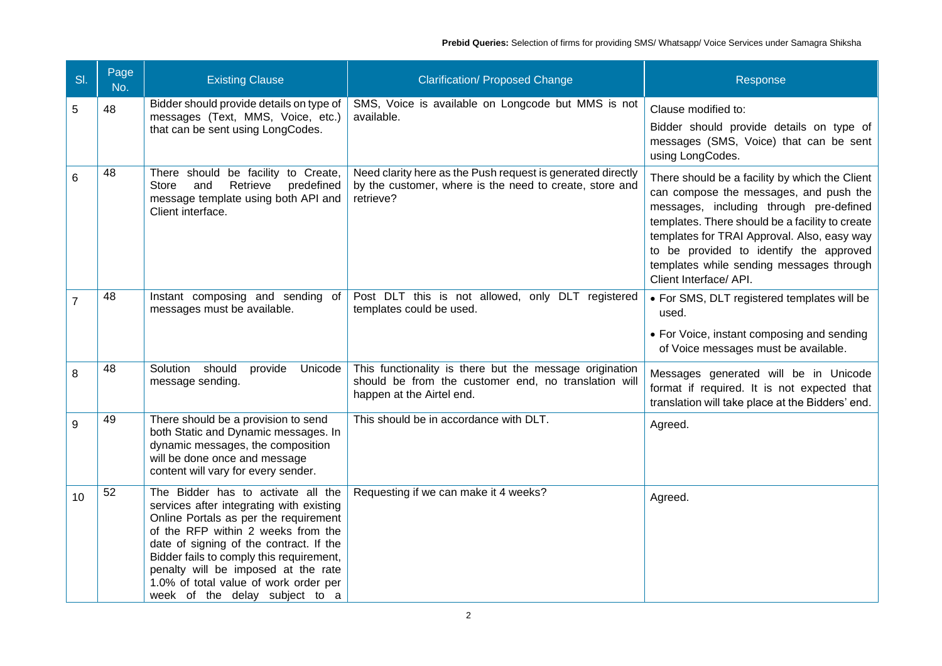| SI. | Page<br>No. | <b>Existing Clause</b>                                                                                                                                                                                                                                                                                                                                                 | <b>Clarification/ Proposed Change</b>                                                                                                        | Response                                                                                                                                                                                                                                                                                                                                               |
|-----|-------------|------------------------------------------------------------------------------------------------------------------------------------------------------------------------------------------------------------------------------------------------------------------------------------------------------------------------------------------------------------------------|----------------------------------------------------------------------------------------------------------------------------------------------|--------------------------------------------------------------------------------------------------------------------------------------------------------------------------------------------------------------------------------------------------------------------------------------------------------------------------------------------------------|
| 5   | 48          | Bidder should provide details on type of<br>messages (Text, MMS, Voice, etc.)<br>that can be sent using LongCodes.                                                                                                                                                                                                                                                     | SMS, Voice is available on Longcode but MMS is not<br>available.                                                                             | Clause modified to:<br>Bidder should provide details on type of<br>messages (SMS, Voice) that can be sent<br>using LongCodes.                                                                                                                                                                                                                          |
| 6   | 48          | There should be facility to Create,<br>Retrieve<br>and<br>predefined<br>Store<br>message template using both API and<br>Client interface.                                                                                                                                                                                                                              | Need clarity here as the Push request is generated directly<br>by the customer, where is the need to create, store and<br>retrieve?          | There should be a facility by which the Client<br>can compose the messages, and push the<br>messages, including through pre-defined<br>templates. There should be a facility to create<br>templates for TRAI Approval. Also, easy way<br>to be provided to identify the approved<br>templates while sending messages through<br>Client Interface/ API. |
| 7   | 48          | Instant composing and sending of<br>messages must be available.                                                                                                                                                                                                                                                                                                        | Post DLT this is not allowed, only DLT registered<br>templates could be used.                                                                | • For SMS, DLT registered templates will be<br>used.<br>• For Voice, instant composing and sending<br>of Voice messages must be available.                                                                                                                                                                                                             |
| 8   | 48          | Solution should<br>provide<br>Unicode<br>message sending.                                                                                                                                                                                                                                                                                                              | This functionality is there but the message origination<br>should be from the customer end, no translation will<br>happen at the Airtel end. | Messages generated will be in Unicode<br>format if required. It is not expected that<br>translation will take place at the Bidders' end.                                                                                                                                                                                                               |
| 9   | 49          | There should be a provision to send<br>both Static and Dynamic messages. In<br>dynamic messages, the composition<br>will be done once and message<br>content will vary for every sender.                                                                                                                                                                               | This should be in accordance with DLT.                                                                                                       | Agreed.                                                                                                                                                                                                                                                                                                                                                |
| 10  | 52          | The Bidder has to activate all the<br>services after integrating with existing<br>Online Portals as per the requirement<br>of the RFP within 2 weeks from the<br>date of signing of the contract. If the<br>Bidder fails to comply this requirement,<br>penalty will be imposed at the rate<br>1.0% of total value of work order per<br>week of the delay subject to a | Requesting if we can make it 4 weeks?                                                                                                        | Agreed.                                                                                                                                                                                                                                                                                                                                                |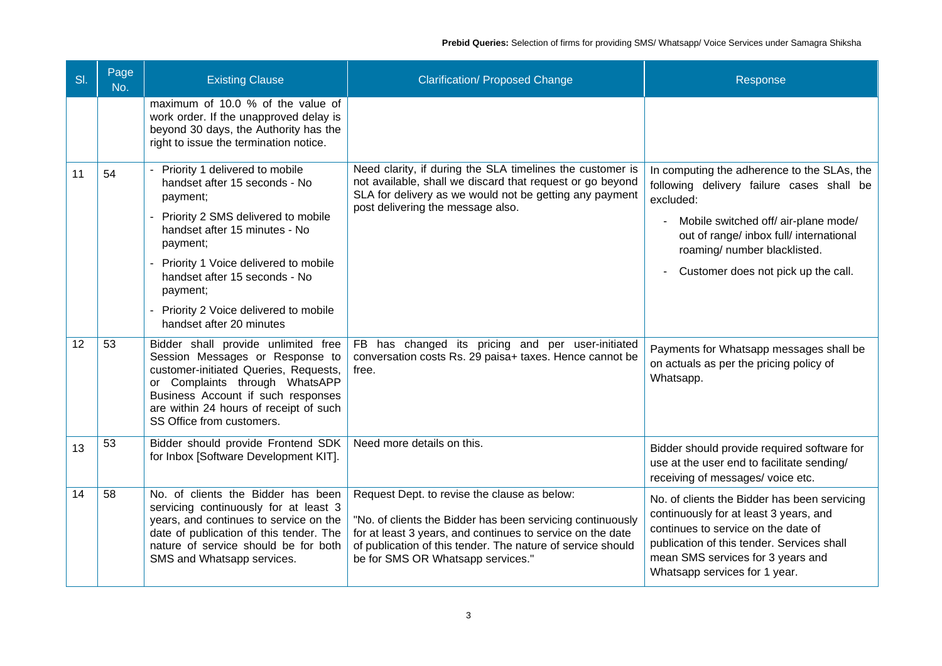| SI. | Page<br>No. | <b>Existing Clause</b>                                                                                                                                                                                                                                                                                                          | <b>Clarification/ Proposed Change</b>                                                                                                                                                                                                                                        | Response                                                                                                                                                                                                                                                        |
|-----|-------------|---------------------------------------------------------------------------------------------------------------------------------------------------------------------------------------------------------------------------------------------------------------------------------------------------------------------------------|------------------------------------------------------------------------------------------------------------------------------------------------------------------------------------------------------------------------------------------------------------------------------|-----------------------------------------------------------------------------------------------------------------------------------------------------------------------------------------------------------------------------------------------------------------|
|     |             | maximum of 10.0 % of the value of<br>work order. If the unapproved delay is<br>beyond 30 days, the Authority has the<br>right to issue the termination notice.                                                                                                                                                                  |                                                                                                                                                                                                                                                                              |                                                                                                                                                                                                                                                                 |
| 11  | 54          | - Priority 1 delivered to mobile<br>handset after 15 seconds - No<br>payment;<br>- Priority 2 SMS delivered to mobile<br>handset after 15 minutes - No<br>payment;<br>- Priority 1 Voice delivered to mobile<br>handset after 15 seconds - No<br>payment:<br>- Priority 2 Voice delivered to mobile<br>handset after 20 minutes | Need clarity, if during the SLA timelines the customer is<br>not available, shall we discard that request or go beyond<br>SLA for delivery as we would not be getting any payment<br>post delivering the message also.                                                       | In computing the adherence to the SLAs, the<br>following delivery failure cases shall be<br>excluded:<br>Mobile switched off/ air-plane mode/<br>out of range/ inbox full/ international<br>roaming/ number blacklisted.<br>Customer does not pick up the call. |
| 12  | 53          | Bidder shall provide unlimited free<br>Session Messages or Response to<br>customer-initiated Queries, Requests,<br>or Complaints through WhatsAPP<br>Business Account if such responses<br>are within 24 hours of receipt of such<br>SS Office from customers.                                                                  | FB has changed its pricing and per user-initiated<br>conversation costs Rs. 29 paisa+ taxes. Hence cannot be<br>free.                                                                                                                                                        | Payments for Whatsapp messages shall be<br>on actuals as per the pricing policy of<br>Whatsapp.                                                                                                                                                                 |
| 13  | 53          | Bidder should provide Frontend SDK<br>for Inbox [Software Development KIT].                                                                                                                                                                                                                                                     | Need more details on this.                                                                                                                                                                                                                                                   | Bidder should provide required software for<br>use at the user end to facilitate sending/<br>receiving of messages/voice etc.                                                                                                                                   |
| 14  | 58          | No. of clients the Bidder has been<br>servicing continuously for at least 3<br>years, and continues to service on the<br>date of publication of this tender. The<br>nature of service should be for both<br>SMS and Whatsapp services.                                                                                          | Request Dept. to revise the clause as below:<br>"No. of clients the Bidder has been servicing continuously<br>for at least 3 years, and continues to service on the date<br>of publication of this tender. The nature of service should<br>be for SMS OR Whatsapp services." | No. of clients the Bidder has been servicing<br>continuously for at least 3 years, and<br>continues to service on the date of<br>publication of this tender. Services shall<br>mean SMS services for 3 years and<br>Whatsapp services for 1 year.               |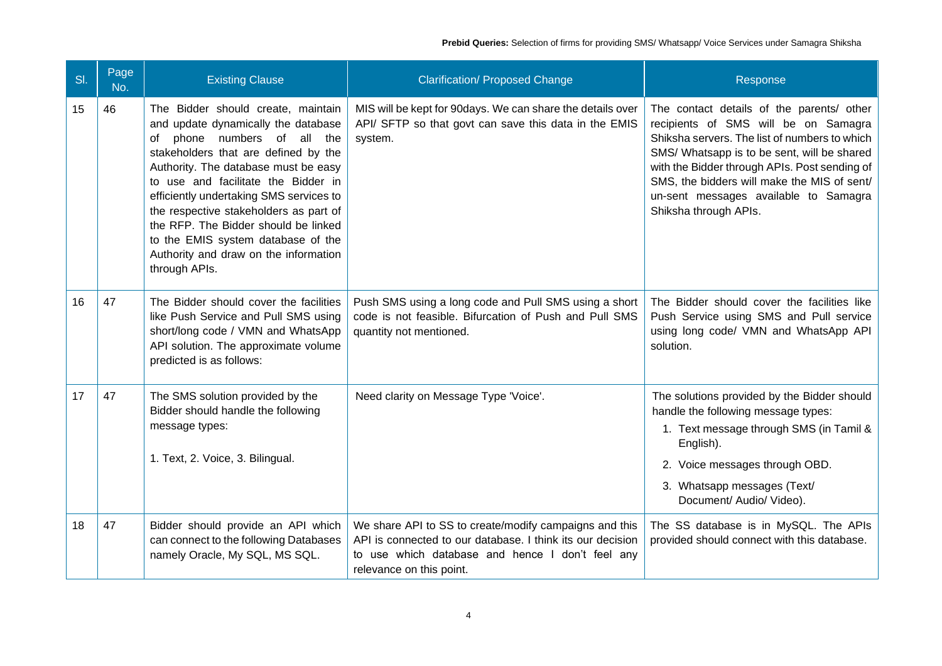| SI. | Page<br>No. | <b>Existing Clause</b>                                                                                                                                                                                                                                                                                                                                                                                                                                          | <b>Clarification/ Proposed Change</b>                                                                                                                                                                | Response                                                                                                                                                                                                                                                                                                                                            |
|-----|-------------|-----------------------------------------------------------------------------------------------------------------------------------------------------------------------------------------------------------------------------------------------------------------------------------------------------------------------------------------------------------------------------------------------------------------------------------------------------------------|------------------------------------------------------------------------------------------------------------------------------------------------------------------------------------------------------|-----------------------------------------------------------------------------------------------------------------------------------------------------------------------------------------------------------------------------------------------------------------------------------------------------------------------------------------------------|
| 15  | 46          | The Bidder should create, maintain<br>and update dynamically the database<br>phone numbers of all the<br>оf<br>stakeholders that are defined by the<br>Authority. The database must be easy<br>to use and facilitate the Bidder in<br>efficiently undertaking SMS services to<br>the respective stakeholders as part of<br>the RFP. The Bidder should be linked<br>to the EMIS system database of the<br>Authority and draw on the information<br>through APIs. | MIS will be kept for 90days. We can share the details over<br>API/ SFTP so that govt can save this data in the EMIS<br>system.                                                                       | The contact details of the parents/ other<br>recipients of SMS will be on Samagra<br>Shiksha servers. The list of numbers to which<br>SMS/ Whatsapp is to be sent, will be shared<br>with the Bidder through APIs. Post sending of<br>SMS, the bidders will make the MIS of sent/<br>un-sent messages available to Samagra<br>Shiksha through APIs. |
| 16  | 47          | The Bidder should cover the facilities<br>like Push Service and Pull SMS using<br>short/long code / VMN and WhatsApp<br>API solution. The approximate volume<br>predicted is as follows:                                                                                                                                                                                                                                                                        | Push SMS using a long code and Pull SMS using a short<br>code is not feasible. Bifurcation of Push and Pull SMS<br>quantity not mentioned.                                                           | The Bidder should cover the facilities like<br>Push Service using SMS and Pull service<br>using long code/ VMN and WhatsApp API<br>solution.                                                                                                                                                                                                        |
| 17  | 47          | The SMS solution provided by the<br>Bidder should handle the following<br>message types:<br>1. Text, 2. Voice, 3. Bilingual.                                                                                                                                                                                                                                                                                                                                    | Need clarity on Message Type 'Voice'.                                                                                                                                                                | The solutions provided by the Bidder should<br>handle the following message types:<br>1. Text message through SMS (in Tamil &<br>English).<br>2. Voice messages through OBD.<br>3. Whatsapp messages (Text/<br>Document/ Audio/ Video).                                                                                                             |
| 18  | 47          | Bidder should provide an API which<br>can connect to the following Databases<br>namely Oracle, My SQL, MS SQL.                                                                                                                                                                                                                                                                                                                                                  | We share API to SS to create/modify campaigns and this<br>API is connected to our database. I think its our decision<br>to use which database and hence I don't feel any<br>relevance on this point. | The SS database is in MySQL. The APIs<br>provided should connect with this database.                                                                                                                                                                                                                                                                |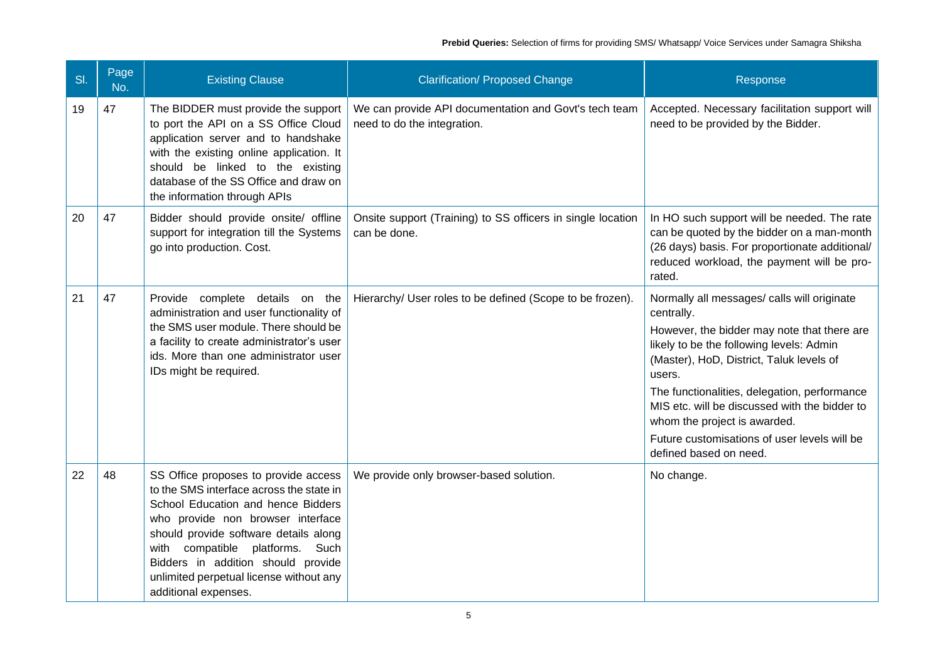| SI. | Page<br>No. | <b>Existing Clause</b>                                                                                                                                                                                                                                                                                                                              | <b>Clarification/ Proposed Change</b>                                                | Response                                                                                                                                                                                                                                                                                                                                                                                                              |
|-----|-------------|-----------------------------------------------------------------------------------------------------------------------------------------------------------------------------------------------------------------------------------------------------------------------------------------------------------------------------------------------------|--------------------------------------------------------------------------------------|-----------------------------------------------------------------------------------------------------------------------------------------------------------------------------------------------------------------------------------------------------------------------------------------------------------------------------------------------------------------------------------------------------------------------|
| 19  | 47          | The BIDDER must provide the support<br>to port the API on a SS Office Cloud<br>application server and to handshake<br>with the existing online application. It<br>should be linked to the existing<br>database of the SS Office and draw on<br>the information through APIs                                                                         | We can provide API documentation and Govt's tech team<br>need to do the integration. | Accepted. Necessary facilitation support will<br>need to be provided by the Bidder.                                                                                                                                                                                                                                                                                                                                   |
| 20  | 47          | Bidder should provide onsite/ offline<br>support for integration till the Systems<br>go into production. Cost.                                                                                                                                                                                                                                      | Onsite support (Training) to SS officers in single location<br>can be done.          | In HO such support will be needed. The rate<br>can be quoted by the bidder on a man-month<br>(26 days) basis. For proportionate additional/<br>reduced workload, the payment will be pro-<br>rated.                                                                                                                                                                                                                   |
| 21  | 47          | Provide complete details on the<br>administration and user functionality of<br>the SMS user module. There should be<br>a facility to create administrator's user<br>ids. More than one administrator user<br>IDs might be required.                                                                                                                 | Hierarchy/ User roles to be defined (Scope to be frozen).                            | Normally all messages/ calls will originate<br>centrally.<br>However, the bidder may note that there are<br>likely to be the following levels: Admin<br>(Master), HoD, District, Taluk levels of<br>users.<br>The functionalities, delegation, performance<br>MIS etc. will be discussed with the bidder to<br>whom the project is awarded.<br>Future customisations of user levels will be<br>defined based on need. |
| 22  | 48          | SS Office proposes to provide access<br>to the SMS interface across the state in<br>School Education and hence Bidders<br>who provide non browser interface<br>should provide software details along<br>with compatible platforms.<br>Such<br>Bidders in addition should provide<br>unlimited perpetual license without any<br>additional expenses. | We provide only browser-based solution.                                              | No change.                                                                                                                                                                                                                                                                                                                                                                                                            |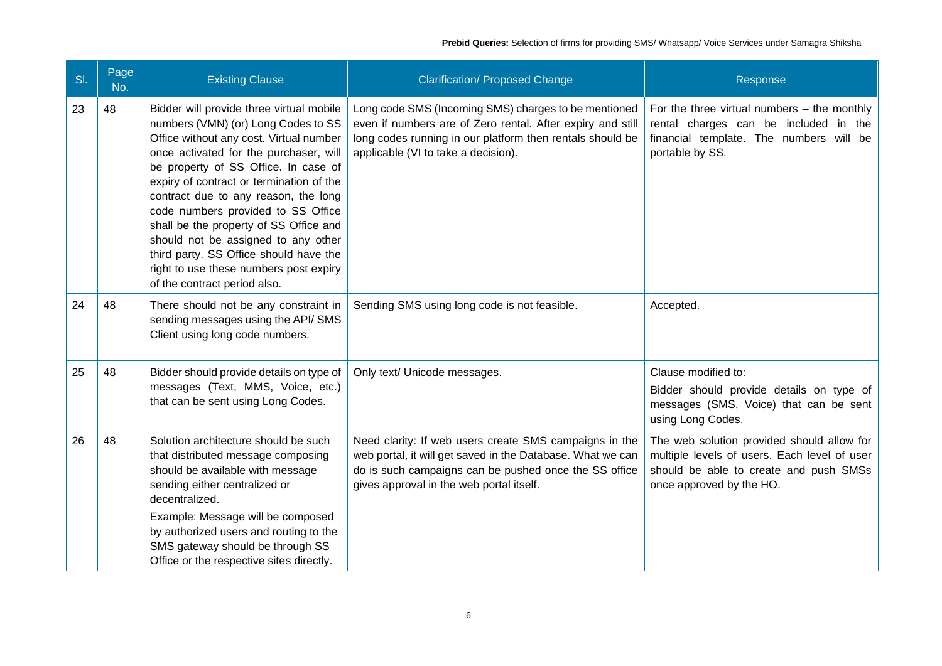| SI. | Page<br>No. | <b>Existing Clause</b>                                                                                                                                                                                                                                                                                                                                                                                                                                                                                                                      | <b>Clarification/ Proposed Change</b>                                                                                                                                                                                     | Response                                                                                                                                                         |
|-----|-------------|---------------------------------------------------------------------------------------------------------------------------------------------------------------------------------------------------------------------------------------------------------------------------------------------------------------------------------------------------------------------------------------------------------------------------------------------------------------------------------------------------------------------------------------------|---------------------------------------------------------------------------------------------------------------------------------------------------------------------------------------------------------------------------|------------------------------------------------------------------------------------------------------------------------------------------------------------------|
| 23  | 48          | Bidder will provide three virtual mobile<br>numbers (VMN) (or) Long Codes to SS<br>Office without any cost. Virtual number<br>once activated for the purchaser, will<br>be property of SS Office. In case of<br>expiry of contract or termination of the<br>contract due to any reason, the long<br>code numbers provided to SS Office<br>shall be the property of SS Office and<br>should not be assigned to any other<br>third party. SS Office should have the<br>right to use these numbers post expiry<br>of the contract period also. | Long code SMS (Incoming SMS) charges to be mentioned<br>even if numbers are of Zero rental. After expiry and still<br>long codes running in our platform then rentals should be<br>applicable (VI to take a decision).    | For the three virtual numbers $-$ the monthly<br>rental charges can be included in the<br>financial template. The numbers will be<br>portable by SS.             |
| 24  | 48          | There should not be any constraint in<br>sending messages using the API/ SMS<br>Client using long code numbers.                                                                                                                                                                                                                                                                                                                                                                                                                             | Sending SMS using long code is not feasible.                                                                                                                                                                              | Accepted.                                                                                                                                                        |
| 25  | 48          | Bidder should provide details on type of<br>messages (Text, MMS, Voice, etc.)<br>that can be sent using Long Codes.                                                                                                                                                                                                                                                                                                                                                                                                                         | Only text/ Unicode messages.                                                                                                                                                                                              | Clause modified to:<br>Bidder should provide details on type of<br>messages (SMS, Voice) that can be sent<br>using Long Codes.                                   |
| 26  | 48          | Solution architecture should be such<br>that distributed message composing<br>should be available with message<br>sending either centralized or<br>decentralized.                                                                                                                                                                                                                                                                                                                                                                           | Need clarity: If web users create SMS campaigns in the<br>web portal, it will get saved in the Database. What we can<br>do is such campaigns can be pushed once the SS office<br>gives approval in the web portal itself. | The web solution provided should allow for<br>multiple levels of users. Each level of user<br>should be able to create and push SMSs<br>once approved by the HO. |
|     |             | Example: Message will be composed<br>by authorized users and routing to the<br>SMS gateway should be through SS<br>Office or the respective sites directly.                                                                                                                                                                                                                                                                                                                                                                                 |                                                                                                                                                                                                                           |                                                                                                                                                                  |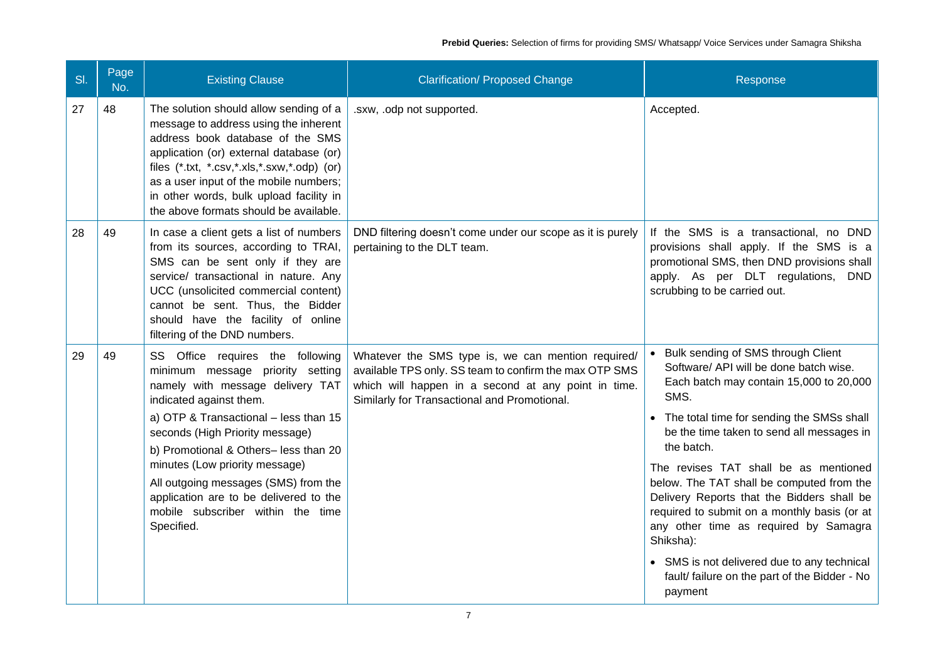| SI. | Page<br>No. | <b>Existing Clause</b>                                                                                                                                                                                                                                                                                                                                                                                                          | <b>Clarification/ Proposed Change</b>                                                                                                                                                                               | Response                                                                                                                                                                                                                                                                                                                                                                                                                                                                                                                                                                                       |
|-----|-------------|---------------------------------------------------------------------------------------------------------------------------------------------------------------------------------------------------------------------------------------------------------------------------------------------------------------------------------------------------------------------------------------------------------------------------------|---------------------------------------------------------------------------------------------------------------------------------------------------------------------------------------------------------------------|------------------------------------------------------------------------------------------------------------------------------------------------------------------------------------------------------------------------------------------------------------------------------------------------------------------------------------------------------------------------------------------------------------------------------------------------------------------------------------------------------------------------------------------------------------------------------------------------|
| 27  | 48          | The solution should allow sending of a<br>message to address using the inherent<br>address book database of the SMS<br>application (or) external database (or)<br>files (*.txt, *.csv,*.xls,*.sxw,*.odp) (or)<br>as a user input of the mobile numbers;<br>in other words, bulk upload facility in<br>the above formats should be available.                                                                                    | .sxw, .odp not supported.                                                                                                                                                                                           | Accepted.                                                                                                                                                                                                                                                                                                                                                                                                                                                                                                                                                                                      |
| 28  | 49          | In case a client gets a list of numbers<br>from its sources, according to TRAI,<br>SMS can be sent only if they are<br>service/ transactional in nature. Any<br>UCC (unsolicited commercial content)<br>cannot be sent. Thus, the Bidder<br>should have the facility of online<br>filtering of the DND numbers.                                                                                                                 | DND filtering doesn't come under our scope as it is purely<br>pertaining to the DLT team.                                                                                                                           | If the SMS is a transactional, no DND<br>provisions shall apply. If the SMS is a<br>promotional SMS, then DND provisions shall<br>apply. As per DLT regulations, DND<br>scrubbing to be carried out.                                                                                                                                                                                                                                                                                                                                                                                           |
| 29  | 49          | SS Office requires the following<br>minimum message priority setting<br>namely with message delivery TAT<br>indicated against them.<br>a) OTP & Transactional - less than 15<br>seconds (High Priority message)<br>b) Promotional & Others- less than 20<br>minutes (Low priority message)<br>All outgoing messages (SMS) from the<br>application are to be delivered to the<br>mobile subscriber within the time<br>Specified. | Whatever the SMS type is, we can mention required/<br>available TPS only. SS team to confirm the max OTP SMS<br>which will happen in a second at any point in time.<br>Similarly for Transactional and Promotional. | Bulk sending of SMS through Client<br>Software/ API will be done batch wise.<br>Each batch may contain 15,000 to 20,000<br>SMS.<br>• The total time for sending the SMSs shall<br>be the time taken to send all messages in<br>the batch.<br>The revises TAT shall be as mentioned<br>below. The TAT shall be computed from the<br>Delivery Reports that the Bidders shall be<br>required to submit on a monthly basis (or at<br>any other time as required by Samagra<br>Shiksha):<br>• SMS is not delivered due to any technical<br>fault/ failure on the part of the Bidder - No<br>payment |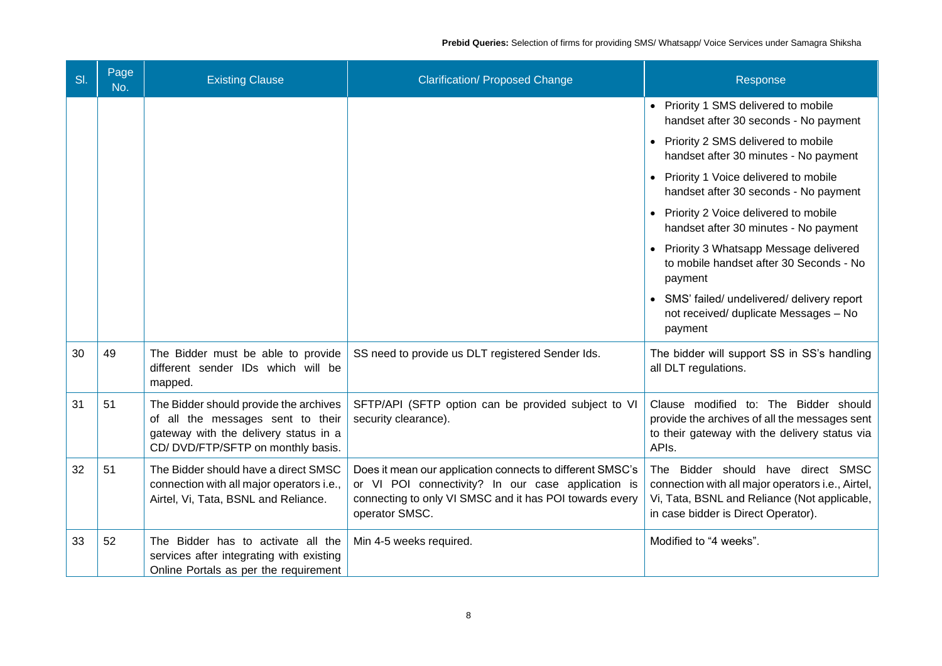| SI. | Page<br>No. | <b>Existing Clause</b>                                                                                                                                    | <b>Clarification/ Proposed Change</b>                                                                                                                                                        | Response                                                                                                                                                                       |
|-----|-------------|-----------------------------------------------------------------------------------------------------------------------------------------------------------|----------------------------------------------------------------------------------------------------------------------------------------------------------------------------------------------|--------------------------------------------------------------------------------------------------------------------------------------------------------------------------------|
|     |             |                                                                                                                                                           |                                                                                                                                                                                              | • Priority 1 SMS delivered to mobile<br>handset after 30 seconds - No payment                                                                                                  |
|     |             |                                                                                                                                                           |                                                                                                                                                                                              | • Priority 2 SMS delivered to mobile<br>handset after 30 minutes - No payment                                                                                                  |
|     |             |                                                                                                                                                           |                                                                                                                                                                                              | • Priority 1 Voice delivered to mobile<br>handset after 30 seconds - No payment                                                                                                |
|     |             |                                                                                                                                                           |                                                                                                                                                                                              | • Priority 2 Voice delivered to mobile<br>handset after 30 minutes - No payment                                                                                                |
|     |             |                                                                                                                                                           |                                                                                                                                                                                              | • Priority 3 Whatsapp Message delivered<br>to mobile handset after 30 Seconds - No<br>payment                                                                                  |
|     |             |                                                                                                                                                           |                                                                                                                                                                                              | • SMS' failed/ undelivered/ delivery report<br>not received/ duplicate Messages - No<br>payment                                                                                |
| 30  | 49          | The Bidder must be able to provide<br>different sender IDs which will be<br>mapped.                                                                       | SS need to provide us DLT registered Sender Ids.                                                                                                                                             | The bidder will support SS in SS's handling<br>all DLT regulations.                                                                                                            |
| 31  | 51          | The Bidder should provide the archives<br>of all the messages sent to their<br>gateway with the delivery status in a<br>CD/DVD/FTP/SFTP on monthly basis. | SFTP/API (SFTP option can be provided subject to VI<br>security clearance).                                                                                                                  | Clause modified to: The Bidder should<br>provide the archives of all the messages sent<br>to their gateway with the delivery status via<br>APIs.                               |
| 32  | 51          | The Bidder should have a direct SMSC<br>connection with all major operators i.e.,<br>Airtel, Vi, Tata, BSNL and Reliance.                                 | Does it mean our application connects to different SMSC's<br>or VI POI connectivity? In our case application is<br>connecting to only VI SMSC and it has POI towards every<br>operator SMSC. | The Bidder should have direct SMSC<br>connection with all major operators i.e., Airtel,<br>Vi, Tata, BSNL and Reliance (Not applicable,<br>in case bidder is Direct Operator). |
| 33  | 52          | The Bidder has to activate all the<br>services after integrating with existing<br>Online Portals as per the requirement                                   | Min 4-5 weeks required.                                                                                                                                                                      | Modified to "4 weeks".                                                                                                                                                         |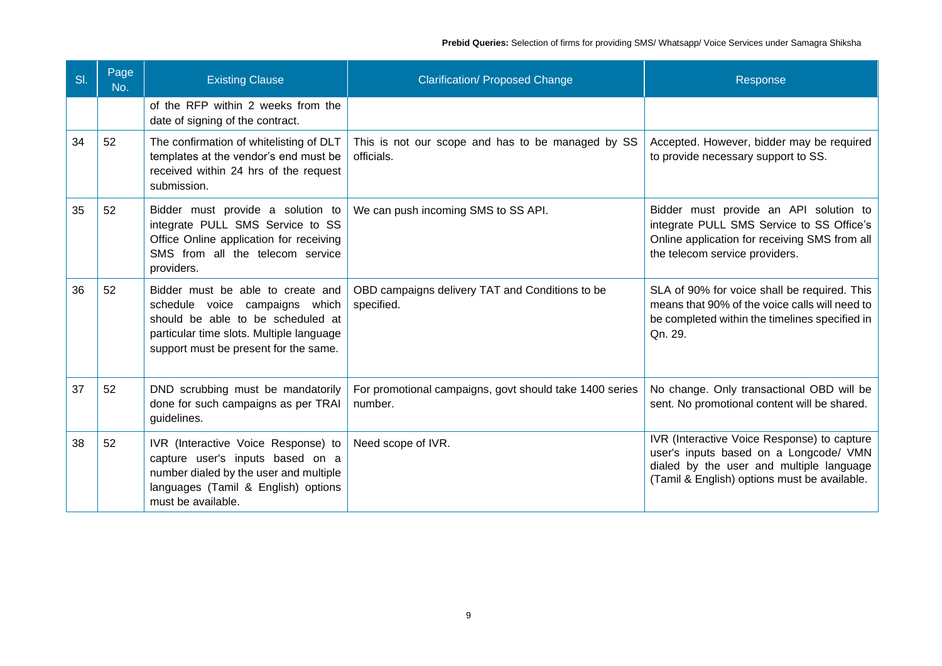| SI. | Page<br>No. | <b>Existing Clause</b>                                                                                                                                                                        | <b>Clarification/ Proposed Change</b>                              | Response                                                                                                                                                                          |
|-----|-------------|-----------------------------------------------------------------------------------------------------------------------------------------------------------------------------------------------|--------------------------------------------------------------------|-----------------------------------------------------------------------------------------------------------------------------------------------------------------------------------|
|     |             | of the RFP within 2 weeks from the<br>date of signing of the contract.                                                                                                                        |                                                                    |                                                                                                                                                                                   |
| 34  | 52          | The confirmation of whitelisting of DLT<br>templates at the vendor's end must be<br>received within 24 hrs of the request<br>submission.                                                      | This is not our scope and has to be managed by SS<br>officials.    | Accepted. However, bidder may be required<br>to provide necessary support to SS.                                                                                                  |
| 35  | 52          | Bidder must provide a solution to<br>integrate PULL SMS Service to SS<br>Office Online application for receiving<br>SMS from all the telecom service<br>providers.                            | We can push incoming SMS to SS API.                                | Bidder must provide an API solution to<br>integrate PULL SMS Service to SS Office's<br>Online application for receiving SMS from all<br>the telecom service providers.            |
| 36  | 52          | Bidder must be able to create and<br>schedule voice campaigns which<br>should be able to be scheduled at<br>particular time slots. Multiple language<br>support must be present for the same. | OBD campaigns delivery TAT and Conditions to be<br>specified.      | SLA of 90% for voice shall be required. This<br>means that 90% of the voice calls will need to<br>be completed within the timelines specified in<br>Qn. 29.                       |
| 37  | 52          | DND scrubbing must be mandatorily<br>done for such campaigns as per TRAI<br>guidelines.                                                                                                       | For promotional campaigns, govt should take 1400 series<br>number. | No change. Only transactional OBD will be<br>sent. No promotional content will be shared.                                                                                         |
| 38  | 52          | IVR (Interactive Voice Response) to<br>capture user's inputs based on a<br>number dialed by the user and multiple<br>languages (Tamil & English) options<br>must be available.                | Need scope of IVR.                                                 | IVR (Interactive Voice Response) to capture<br>user's inputs based on a Longcode/ VMN<br>dialed by the user and multiple language<br>(Tamil & English) options must be available. |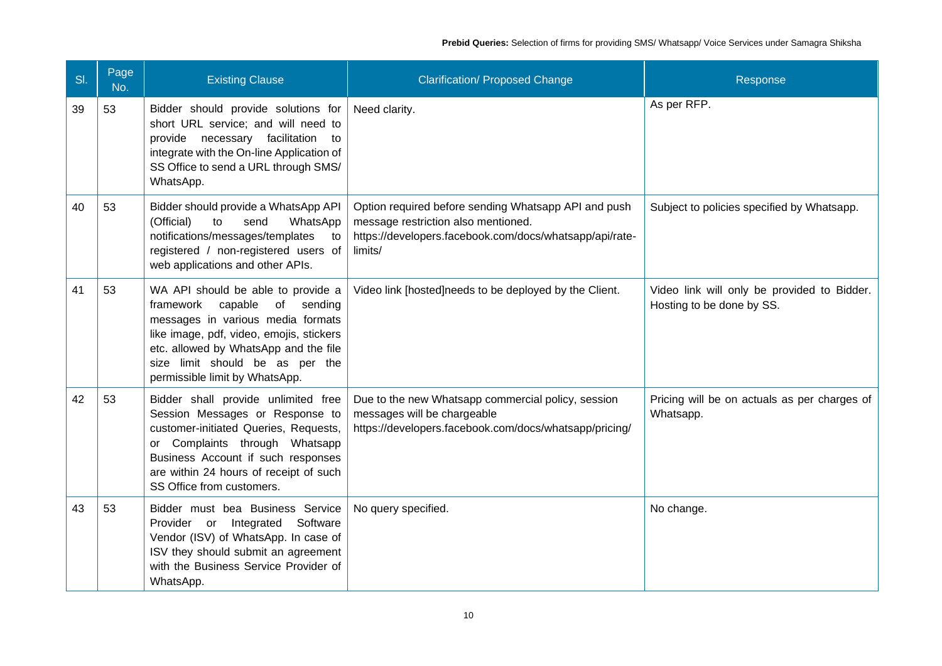| SI. | Page<br>No. | <b>Existing Clause</b>                                                                                                                                                                                                                                                  | <b>Clarification/ Proposed Change</b>                                                                                                                             | Response                                                                 |
|-----|-------------|-------------------------------------------------------------------------------------------------------------------------------------------------------------------------------------------------------------------------------------------------------------------------|-------------------------------------------------------------------------------------------------------------------------------------------------------------------|--------------------------------------------------------------------------|
| 39  | 53          | Bidder should provide solutions for<br>short URL service; and will need to<br>provide necessary facilitation to<br>integrate with the On-line Application of<br>SS Office to send a URL through SMS/<br>WhatsApp.                                                       | Need clarity.                                                                                                                                                     | As per RFP.                                                              |
| 40  | 53          | Bidder should provide a WhatsApp API<br>(Official)<br>to<br>send<br>WhatsApp<br>notifications/messages/templates<br>to<br>registered / non-registered users of<br>web applications and other APIs.                                                                      | Option required before sending Whatsapp API and push<br>message restriction also mentioned.<br>https://developers.facebook.com/docs/whatsapp/api/rate-<br>limits/ | Subject to policies specified by Whatsapp.                               |
| 41  | 53          | WA API should be able to provide a<br>framework<br>capable<br>of sending<br>messages in various media formats<br>like image, pdf, video, emojis, stickers<br>etc. allowed by WhatsApp and the file<br>size limit should be as per the<br>permissible limit by WhatsApp. | Video link [hosted]needs to be deployed by the Client.                                                                                                            | Video link will only be provided to Bidder.<br>Hosting to be done by SS. |
| 42  | 53          | Bidder shall provide unlimited free<br>Session Messages or Response to<br>customer-initiated Queries, Requests,<br>or Complaints through Whatsapp<br>Business Account if such responses<br>are within 24 hours of receipt of such<br>SS Office from customers.          | Due to the new Whatsapp commercial policy, session<br>messages will be chargeable<br>https://developers.facebook.com/docs/whatsapp/pricing/                       | Pricing will be on actuals as per charges of<br>Whatsapp.                |
| 43  | 53          | Bidder must bea Business Service<br>Provider or Integrated<br>Software<br>Vendor (ISV) of WhatsApp. In case of<br>ISV they should submit an agreement<br>with the Business Service Provider of<br>WhatsApp.                                                             | No query specified.                                                                                                                                               | No change.                                                               |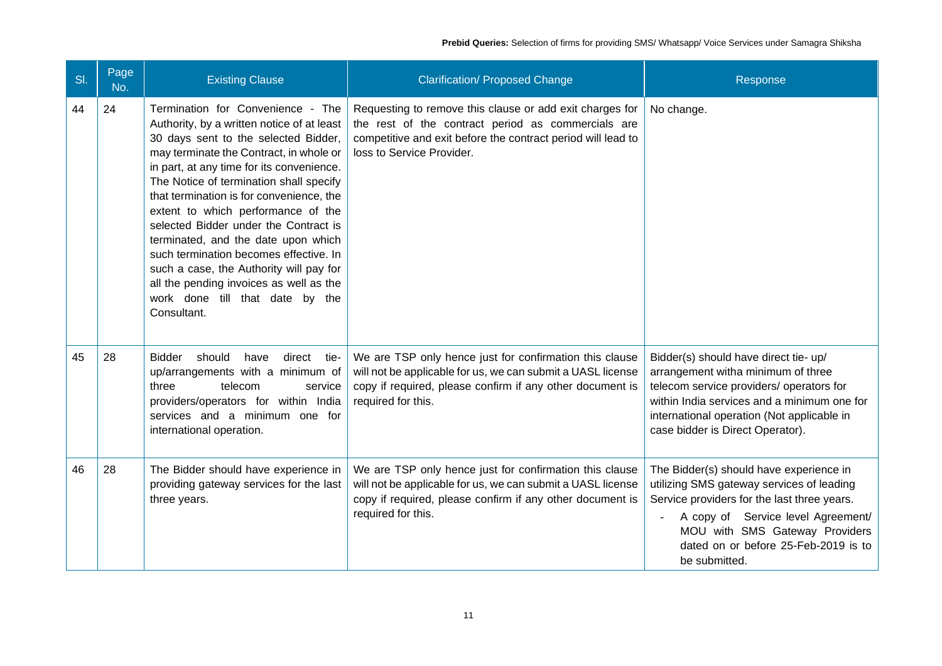| SI. | Page<br>No. | <b>Existing Clause</b>                                                                                                                                                                                                                                                                                                                                                                                                                                                                                                                                                                                         | <b>Clarification/ Proposed Change</b>                                                                                                                                                                       | Response                                                                                                                                                                                                                                                             |
|-----|-------------|----------------------------------------------------------------------------------------------------------------------------------------------------------------------------------------------------------------------------------------------------------------------------------------------------------------------------------------------------------------------------------------------------------------------------------------------------------------------------------------------------------------------------------------------------------------------------------------------------------------|-------------------------------------------------------------------------------------------------------------------------------------------------------------------------------------------------------------|----------------------------------------------------------------------------------------------------------------------------------------------------------------------------------------------------------------------------------------------------------------------|
| 44  | 24          | Termination for Convenience - The<br>Authority, by a written notice of at least<br>30 days sent to the selected Bidder,<br>may terminate the Contract, in whole or<br>in part, at any time for its convenience.<br>The Notice of termination shall specify<br>that termination is for convenience, the<br>extent to which performance of the<br>selected Bidder under the Contract is<br>terminated, and the date upon which<br>such termination becomes effective. In<br>such a case, the Authority will pay for<br>all the pending invoices as well as the<br>work done till that date by the<br>Consultant. | Requesting to remove this clause or add exit charges for<br>the rest of the contract period as commercials are<br>competitive and exit before the contract period will lead to<br>loss to Service Provider. | No change.                                                                                                                                                                                                                                                           |
| 45  | 28          | <b>Bidder</b><br>should<br>have<br>direct tie-<br>up/arrangements with a minimum of<br>three<br>telecom<br>service<br>providers/operators for within India<br>services and a minimum one for<br>international operation.                                                                                                                                                                                                                                                                                                                                                                                       | We are TSP only hence just for confirmation this clause<br>will not be applicable for us, we can submit a UASL license<br>copy if required, please confirm if any other document is<br>required for this.   | Bidder(s) should have direct tie- up/<br>arrangement witha minimum of three<br>telecom service providers/ operators for<br>within India services and a minimum one for<br>international operation (Not applicable in<br>case bidder is Direct Operator).             |
| 46  | 28          | The Bidder should have experience in<br>providing gateway services for the last<br>three years.                                                                                                                                                                                                                                                                                                                                                                                                                                                                                                                | We are TSP only hence just for confirmation this clause<br>will not be applicable for us, we can submit a UASL license<br>copy if required, please confirm if any other document is<br>required for this.   | The Bidder(s) should have experience in<br>utilizing SMS gateway services of leading<br>Service providers for the last three years.<br>A copy of Service level Agreement/<br>MOU with SMS Gateway Providers<br>dated on or before 25-Feb-2019 is to<br>be submitted. |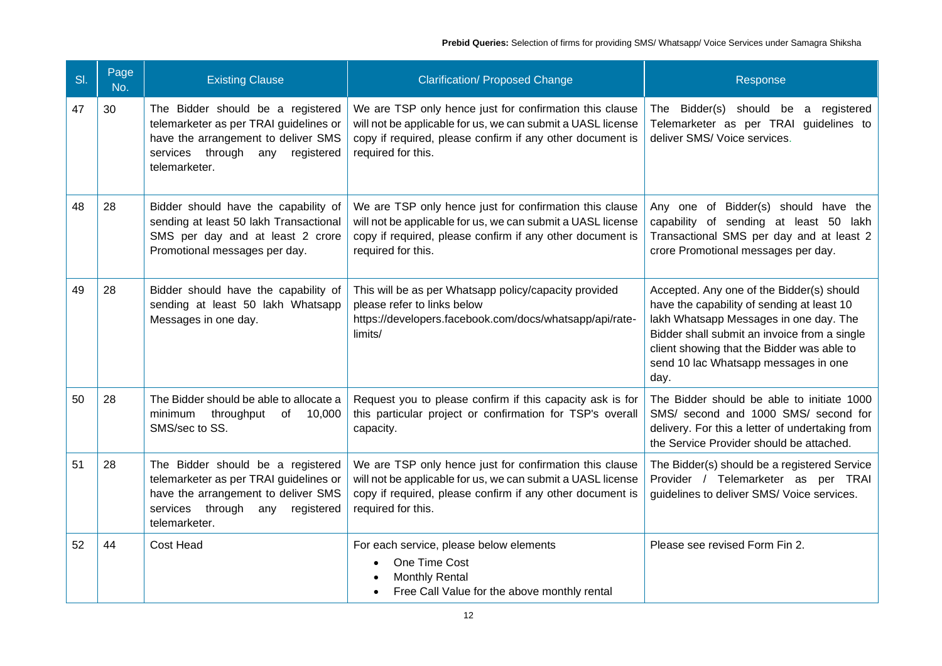| SI. | Page<br>No. | <b>Existing Clause</b>                                                                                                                                                 | <b>Clarification/ Proposed Change</b>                                                                                                                                                                     | Response                                                                                                                                                                                                                                                                        |
|-----|-------------|------------------------------------------------------------------------------------------------------------------------------------------------------------------------|-----------------------------------------------------------------------------------------------------------------------------------------------------------------------------------------------------------|---------------------------------------------------------------------------------------------------------------------------------------------------------------------------------------------------------------------------------------------------------------------------------|
| 47  | 30          | The Bidder should be a registered<br>telemarketer as per TRAI guidelines or<br>have the arrangement to deliver SMS<br>services through any registered<br>telemarketer. | We are TSP only hence just for confirmation this clause<br>will not be applicable for us, we can submit a UASL license<br>copy if required, please confirm if any other document is<br>required for this. | The Bidder(s) should be<br>a registered<br>Telemarketer as per TRAI guidelines to<br>deliver SMS/ Voice services.                                                                                                                                                               |
| 48  | 28          | Bidder should have the capability of<br>sending at least 50 lakh Transactional<br>SMS per day and at least 2 crore<br>Promotional messages per day.                    | We are TSP only hence just for confirmation this clause<br>will not be applicable for us, we can submit a UASL license<br>copy if required, please confirm if any other document is<br>required for this. | Any one of Bidder(s) should have the<br>capability of sending at least 50<br>lakh<br>Transactional SMS per day and at least 2<br>crore Promotional messages per day.                                                                                                            |
| 49  | 28          | Bidder should have the capability of<br>sending at least 50 lakh Whatsapp<br>Messages in one day.                                                                      | This will be as per Whatsapp policy/capacity provided<br>please refer to links below<br>https://developers.facebook.com/docs/whatsapp/api/rate-<br>limits/                                                | Accepted. Any one of the Bidder(s) should<br>have the capability of sending at least 10<br>lakh Whatsapp Messages in one day. The<br>Bidder shall submit an invoice from a single<br>client showing that the Bidder was able to<br>send 10 lac Whatsapp messages in one<br>day. |
| 50  | 28          | The Bidder should be able to allocate a<br>minimum<br>throughput<br>of 10,000<br>SMS/sec to SS.                                                                        | Request you to please confirm if this capacity ask is for<br>this particular project or confirmation for TSP's overall<br>capacity.                                                                       | The Bidder should be able to initiate 1000<br>SMS/ second and 1000 SMS/ second for<br>delivery. For this a letter of undertaking from<br>the Service Provider should be attached.                                                                                               |
| 51  | 28          | The Bidder should be a registered<br>telemarketer as per TRAI guidelines or<br>have the arrangement to deliver SMS<br>services through any registered<br>telemarketer. | We are TSP only hence just for confirmation this clause<br>will not be applicable for us, we can submit a UASL license<br>copy if required, please confirm if any other document is<br>required for this. | The Bidder(s) should be a registered Service<br>Provider / Telemarketer as per TRAI<br>guidelines to deliver SMS/ Voice services.                                                                                                                                               |
| 52  | 44          | Cost Head                                                                                                                                                              | For each service, please below elements<br>One Time Cost<br><b>Monthly Rental</b><br>Free Call Value for the above monthly rental                                                                         | Please see revised Form Fin 2.                                                                                                                                                                                                                                                  |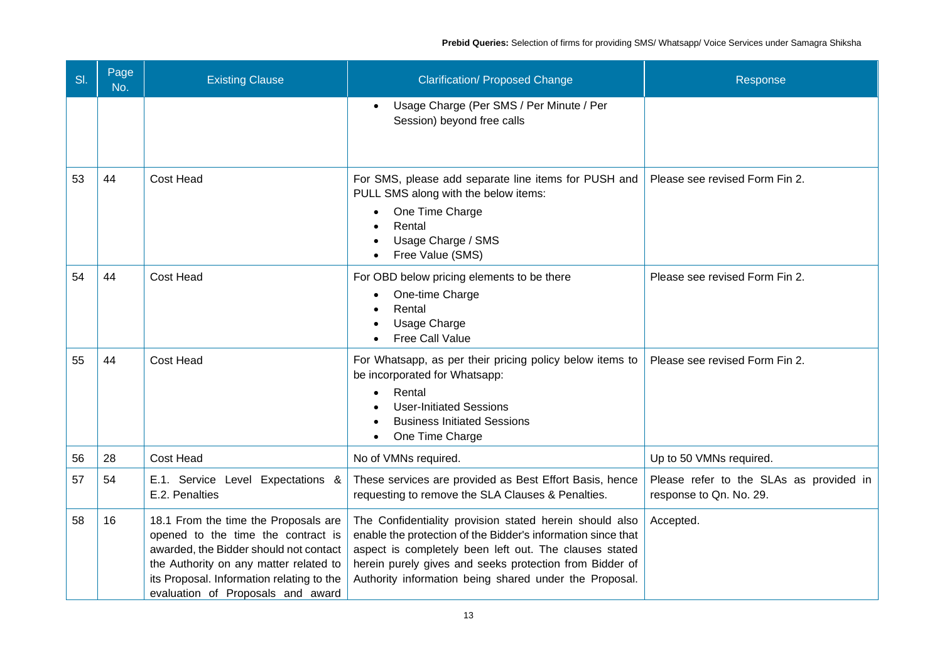| SI. | Page<br>No. | <b>Existing Clause</b>                                                                                                                                                                                                                           | <b>Clarification/ Proposed Change</b>                                                                                                                                                                                                                                                                  | Response                                                           |
|-----|-------------|--------------------------------------------------------------------------------------------------------------------------------------------------------------------------------------------------------------------------------------------------|--------------------------------------------------------------------------------------------------------------------------------------------------------------------------------------------------------------------------------------------------------------------------------------------------------|--------------------------------------------------------------------|
|     |             |                                                                                                                                                                                                                                                  | Usage Charge (Per SMS / Per Minute / Per<br>$\bullet$<br>Session) beyond free calls                                                                                                                                                                                                                    |                                                                    |
| 53  | 44          | Cost Head                                                                                                                                                                                                                                        | For SMS, please add separate line items for PUSH and<br>PULL SMS along with the below items:<br>One Time Charge<br>Rental<br>Usage Charge / SMS<br>Free Value (SMS)                                                                                                                                    | Please see revised Form Fin 2.                                     |
| 54  | 44          | Cost Head                                                                                                                                                                                                                                        | For OBD below pricing elements to be there<br>One-time Charge<br>Rental<br>Usage Charge<br>Free Call Value                                                                                                                                                                                             | Please see revised Form Fin 2.                                     |
| 55  | 44          | Cost Head                                                                                                                                                                                                                                        | For Whatsapp, as per their pricing policy below items to<br>be incorporated for Whatsapp:<br>Rental<br><b>User-Initiated Sessions</b><br><b>Business Initiated Sessions</b><br>One Time Charge                                                                                                         | Please see revised Form Fin 2.                                     |
| 56  | 28          | Cost Head                                                                                                                                                                                                                                        | No of VMNs required.                                                                                                                                                                                                                                                                                   | Up to 50 VMNs required.                                            |
| 57  | 54          | E.1. Service Level Expectations &<br>E.2. Penalties                                                                                                                                                                                              | These services are provided as Best Effort Basis, hence<br>requesting to remove the SLA Clauses & Penalties.                                                                                                                                                                                           | Please refer to the SLAs as provided in<br>response to Qn. No. 29. |
| 58  | 16          | 18.1 From the time the Proposals are<br>opened to the time the contract is<br>awarded, the Bidder should not contact<br>the Authority on any matter related to<br>its Proposal. Information relating to the<br>evaluation of Proposals and award | The Confidentiality provision stated herein should also<br>enable the protection of the Bidder's information since that<br>aspect is completely been left out. The clauses stated<br>herein purely gives and seeks protection from Bidder of<br>Authority information being shared under the Proposal. | Accepted.                                                          |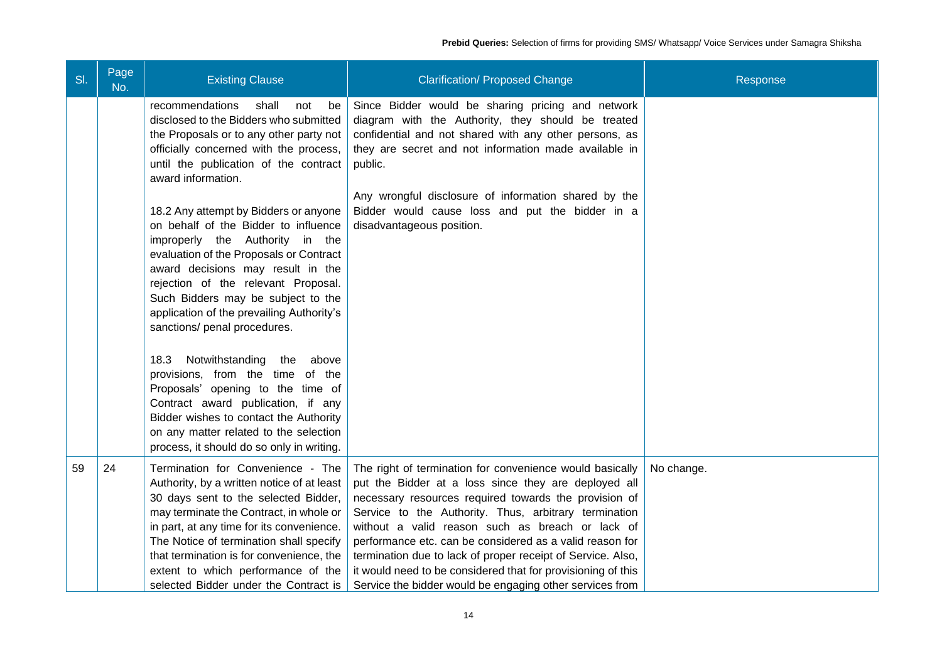| SI. | Page<br>No. | <b>Existing Clause</b>                                                                                                                                                                                                                                                                                                                                                                | <b>Clarification/ Proposed Change</b>                                                                                                                                                                                                                                                                                                                                                                                                                                                                                                         | Response   |
|-----|-------------|---------------------------------------------------------------------------------------------------------------------------------------------------------------------------------------------------------------------------------------------------------------------------------------------------------------------------------------------------------------------------------------|-----------------------------------------------------------------------------------------------------------------------------------------------------------------------------------------------------------------------------------------------------------------------------------------------------------------------------------------------------------------------------------------------------------------------------------------------------------------------------------------------------------------------------------------------|------------|
|     |             | shall<br>recommendations<br>not<br>be<br>disclosed to the Bidders who submitted<br>the Proposals or to any other party not<br>officially concerned with the process,<br>until the publication of the contract<br>award information.                                                                                                                                                   | Since Bidder would be sharing pricing and network<br>diagram with the Authority, they should be treated<br>confidential and not shared with any other persons, as<br>they are secret and not information made available in<br>public.                                                                                                                                                                                                                                                                                                         |            |
|     |             | 18.2 Any attempt by Bidders or anyone<br>on behalf of the Bidder to influence<br>improperly the Authority in the<br>evaluation of the Proposals or Contract<br>award decisions may result in the<br>rejection of the relevant Proposal.<br>Such Bidders may be subject to the<br>application of the prevailing Authority's<br>sanctions/ penal procedures.                            | Any wrongful disclosure of information shared by the<br>Bidder would cause loss and put the bidder in a<br>disadvantageous position.                                                                                                                                                                                                                                                                                                                                                                                                          |            |
|     |             | Notwithstanding<br>the<br>18.3<br>above<br>provisions, from the time of the<br>Proposals' opening to the time of<br>Contract award publication, if any<br>Bidder wishes to contact the Authority<br>on any matter related to the selection<br>process, it should do so only in writing.                                                                                               |                                                                                                                                                                                                                                                                                                                                                                                                                                                                                                                                               |            |
| 59  | 24          | Termination for Convenience - The<br>Authority, by a written notice of at least<br>30 days sent to the selected Bidder,<br>may terminate the Contract, in whole or<br>in part, at any time for its convenience.<br>The Notice of termination shall specify<br>that termination is for convenience, the<br>extent to which performance of the<br>selected Bidder under the Contract is | The right of termination for convenience would basically<br>put the Bidder at a loss since they are deployed all<br>necessary resources required towards the provision of<br>Service to the Authority. Thus, arbitrary termination<br>without a valid reason such as breach or lack of<br>performance etc. can be considered as a valid reason for<br>termination due to lack of proper receipt of Service. Also,<br>it would need to be considered that for provisioning of this<br>Service the bidder would be engaging other services from | No change. |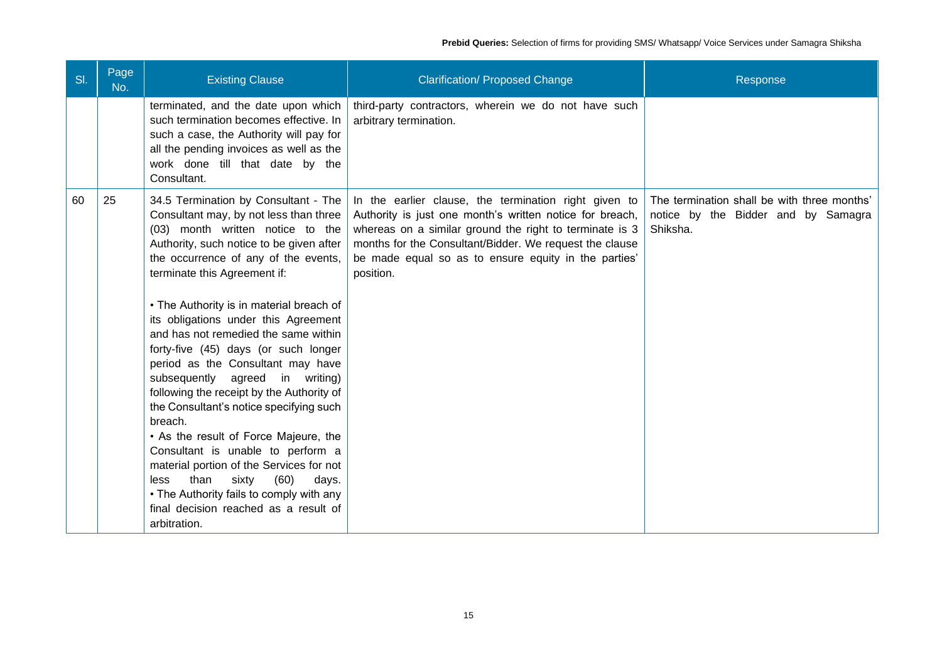| SI. | Page<br>No. | <b>Existing Clause</b>                                                                                                                                                                                                                                                                                                                                                                                                                                                                                                                                                                                                                                                                                                                                                                                                                                         | <b>Clarification/ Proposed Change</b>                                                                                                                                                                                                                                                                        | Response                                                                                       |
|-----|-------------|----------------------------------------------------------------------------------------------------------------------------------------------------------------------------------------------------------------------------------------------------------------------------------------------------------------------------------------------------------------------------------------------------------------------------------------------------------------------------------------------------------------------------------------------------------------------------------------------------------------------------------------------------------------------------------------------------------------------------------------------------------------------------------------------------------------------------------------------------------------|--------------------------------------------------------------------------------------------------------------------------------------------------------------------------------------------------------------------------------------------------------------------------------------------------------------|------------------------------------------------------------------------------------------------|
|     |             | terminated, and the date upon which<br>such termination becomes effective. In<br>such a case, the Authority will pay for<br>all the pending invoices as well as the<br>work done till that date by the<br>Consultant.                                                                                                                                                                                                                                                                                                                                                                                                                                                                                                                                                                                                                                          | third-party contractors, wherein we do not have such<br>arbitrary termination.                                                                                                                                                                                                                               |                                                                                                |
| 60  | 25          | 34.5 Termination by Consultant - The<br>Consultant may, by not less than three<br>(03) month written notice to the<br>Authority, such notice to be given after<br>the occurrence of any of the events,<br>terminate this Agreement if:<br>• The Authority is in material breach of<br>its obligations under this Agreement<br>and has not remedied the same within<br>forty-five (45) days (or such longer<br>period as the Consultant may have<br>subsequently agreed in writing)<br>following the receipt by the Authority of<br>the Consultant's notice specifying such<br>breach.<br>• As the result of Force Majeure, the<br>Consultant is unable to perform a<br>material portion of the Services for not<br>than<br>sixty<br>(60)<br>less<br>days.<br>• The Authority fails to comply with any<br>final decision reached as a result of<br>arbitration. | In the earlier clause, the termination right given to<br>Authority is just one month's written notice for breach,<br>whereas on a similar ground the right to terminate is 3<br>months for the Consultant/Bidder. We request the clause<br>be made equal so as to ensure equity in the parties'<br>position. | The termination shall be with three months'<br>notice by the Bidder and by Samagra<br>Shiksha. |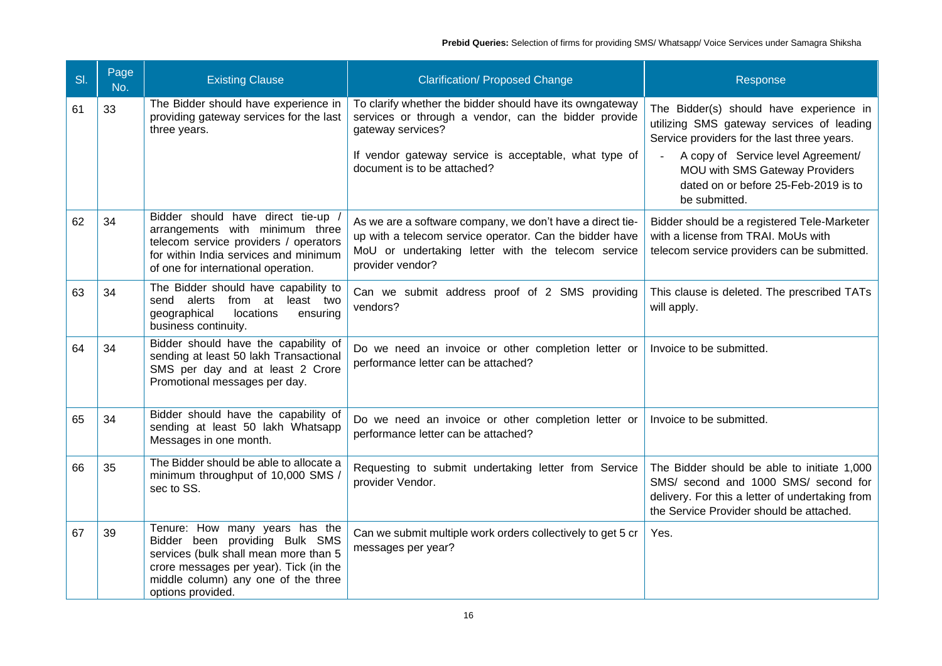| SI. | Page<br>No. | <b>Existing Clause</b>                                                                                                                                                                                          | <b>Clarification/ Proposed Change</b>                                                                                                                                                                                         | Response                                                                                                                                                                                                                                                             |
|-----|-------------|-----------------------------------------------------------------------------------------------------------------------------------------------------------------------------------------------------------------|-------------------------------------------------------------------------------------------------------------------------------------------------------------------------------------------------------------------------------|----------------------------------------------------------------------------------------------------------------------------------------------------------------------------------------------------------------------------------------------------------------------|
| 61  | 33          | The Bidder should have experience in<br>providing gateway services for the last<br>three years.                                                                                                                 | To clarify whether the bidder should have its owngateway<br>services or through a vendor, can the bidder provide<br>gateway services?<br>If vendor gateway service is acceptable, what type of<br>document is to be attached? | The Bidder(s) should have experience in<br>utilizing SMS gateway services of leading<br>Service providers for the last three years.<br>A copy of Service level Agreement/<br>MOU with SMS Gateway Providers<br>dated on or before 25-Feb-2019 is to<br>be submitted. |
| 62  | 34          | Bidder should have direct tie-up<br>arrangements with minimum three<br>telecom service providers / operators<br>for within India services and minimum<br>of one for international operation.                    | As we are a software company, we don't have a direct tie-<br>up with a telecom service operator. Can the bidder have<br>MoU or undertaking letter with the telecom service<br>provider vendor?                                | Bidder should be a registered Tele-Marketer<br>with a license from TRAI. MoUs with<br>telecom service providers can be submitted.                                                                                                                                    |
| 63  | 34          | The Bidder should have capability to<br>send alerts from at least two<br>geographical<br>locations<br>ensuring<br>business continuity.                                                                          | Can we submit address proof of 2 SMS providing<br>vendors?                                                                                                                                                                    | This clause is deleted. The prescribed TATs<br>will apply.                                                                                                                                                                                                           |
| 64  | 34          | Bidder should have the capability of<br>sending at least 50 lakh Transactional<br>SMS per day and at least 2 Crore<br>Promotional messages per day.                                                             | Do we need an invoice or other completion letter or<br>performance letter can be attached?                                                                                                                                    | Invoice to be submitted.                                                                                                                                                                                                                                             |
| 65  | 34          | Bidder should have the capability of<br>sending at least 50 lakh Whatsapp<br>Messages in one month.                                                                                                             | Do we need an invoice or other completion letter or<br>performance letter can be attached?                                                                                                                                    | Invoice to be submitted.                                                                                                                                                                                                                                             |
| 66  | 35          | The Bidder should be able to allocate a<br>minimum throughput of 10,000 SMS /<br>sec to SS.                                                                                                                     | Requesting to submit undertaking letter from Service<br>provider Vendor.                                                                                                                                                      | The Bidder should be able to initiate 1,000<br>SMS/ second and 1000 SMS/ second for<br>delivery. For this a letter of undertaking from<br>the Service Provider should be attached.                                                                                   |
| 67  | 39          | Tenure: How many years has the<br>Bidder been providing Bulk SMS<br>services (bulk shall mean more than 5<br>crore messages per year). Tick (in the<br>middle column) any one of the three<br>options provided. | Can we submit multiple work orders collectively to get 5 cr<br>messages per year?                                                                                                                                             | Yes.                                                                                                                                                                                                                                                                 |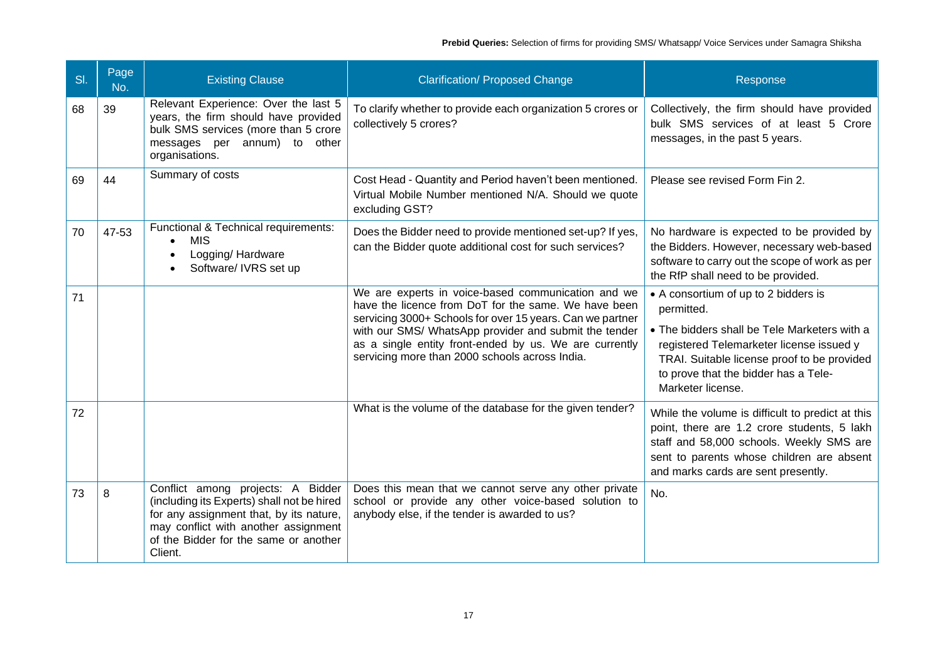| SI. | Page<br>No. | <b>Existing Clause</b>                                                                                                                                                                                                 | <b>Clarification/ Proposed Change</b>                                                                                                                                                                                                                                                                                                        | Response                                                                                                                                                                                                                                                   |
|-----|-------------|------------------------------------------------------------------------------------------------------------------------------------------------------------------------------------------------------------------------|----------------------------------------------------------------------------------------------------------------------------------------------------------------------------------------------------------------------------------------------------------------------------------------------------------------------------------------------|------------------------------------------------------------------------------------------------------------------------------------------------------------------------------------------------------------------------------------------------------------|
| 68  | 39          | Relevant Experience: Over the last 5<br>years, the firm should have provided<br>bulk SMS services (more than 5 crore<br>messages per annum) to other<br>organisations.                                                 | To clarify whether to provide each organization 5 crores or<br>collectively 5 crores?                                                                                                                                                                                                                                                        | Collectively, the firm should have provided<br>bulk SMS services of at least 5 Crore<br>messages, in the past 5 years.                                                                                                                                     |
| 69  | 44          | Summary of costs                                                                                                                                                                                                       | Cost Head - Quantity and Period haven't been mentioned.<br>Virtual Mobile Number mentioned N/A. Should we quote<br>excluding GST?                                                                                                                                                                                                            | Please see revised Form Fin 2.                                                                                                                                                                                                                             |
| 70  | 47-53       | Functional & Technical requirements:<br><b>MIS</b><br>Logging/Hardware<br>Software/ IVRS set up                                                                                                                        | Does the Bidder need to provide mentioned set-up? If yes,<br>can the Bidder quote additional cost for such services?                                                                                                                                                                                                                         | No hardware is expected to be provided by<br>the Bidders. However, necessary web-based<br>software to carry out the scope of work as per<br>the RfP shall need to be provided.                                                                             |
| 71  |             |                                                                                                                                                                                                                        | We are experts in voice-based communication and we<br>have the licence from DoT for the same. We have been<br>servicing 3000+ Schools for over 15 years. Can we partner<br>with our SMS/ WhatsApp provider and submit the tender<br>as a single entity front-ended by us. We are currently<br>servicing more than 2000 schools across India. | • A consortium of up to 2 bidders is<br>permitted.<br>• The bidders shall be Tele Marketers with a<br>registered Telemarketer license issued y<br>TRAI. Suitable license proof to be provided<br>to prove that the bidder has a Tele-<br>Marketer license. |
| 72  |             |                                                                                                                                                                                                                        | What is the volume of the database for the given tender?                                                                                                                                                                                                                                                                                     | While the volume is difficult to predict at this<br>point, there are 1.2 crore students, 5 lakh<br>staff and 58,000 schools. Weekly SMS are<br>sent to parents whose children are absent<br>and marks cards are sent presently.                            |
| 73  | 8           | Conflict among projects: A Bidder<br>(including its Experts) shall not be hired<br>for any assignment that, by its nature,<br>may conflict with another assignment<br>of the Bidder for the same or another<br>Client. | Does this mean that we cannot serve any other private<br>school or provide any other voice-based solution to<br>anybody else, if the tender is awarded to us?                                                                                                                                                                                | No.                                                                                                                                                                                                                                                        |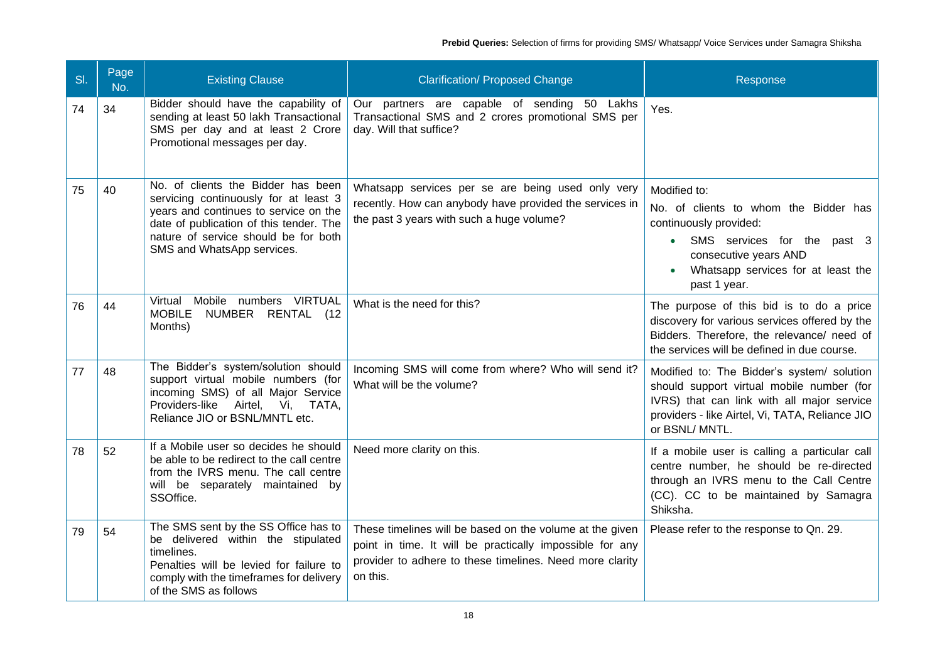| SI. | Page<br>No. | <b>Existing Clause</b>                                                                                                                                                                                                                | <b>Clarification/ Proposed Change</b>                                                                                                                                                        | Response                                                                                                                                                                                                  |
|-----|-------------|---------------------------------------------------------------------------------------------------------------------------------------------------------------------------------------------------------------------------------------|----------------------------------------------------------------------------------------------------------------------------------------------------------------------------------------------|-----------------------------------------------------------------------------------------------------------------------------------------------------------------------------------------------------------|
| 74  | 34          | Bidder should have the capability of<br>sending at least 50 lakh Transactional<br>SMS per day and at least 2 Crore<br>Promotional messages per day.                                                                                   | Our partners are capable of sending 50 Lakhs<br>Transactional SMS and 2 crores promotional SMS per<br>day. Will that suffice?                                                                | Yes.                                                                                                                                                                                                      |
| 75  | 40          | No. of clients the Bidder has been<br>servicing continuously for at least 3<br>years and continues to service on the<br>date of publication of this tender. The<br>nature of service should be for both<br>SMS and WhatsApp services. | Whatsapp services per se are being used only very<br>recently. How can anybody have provided the services in<br>the past 3 years with such a huge volume?                                    | Modified to:<br>No. of clients to whom the Bidder has<br>continuously provided:<br>SMS services for the past 3<br>consecutive years AND<br>Whatsapp services for at least the<br>past 1 year.             |
| 76  | 44          | Mobile numbers VIRTUAL<br>Virtual<br><b>MOBILE</b><br>NUMBER RENTAL (12<br>Months)                                                                                                                                                    | What is the need for this?                                                                                                                                                                   | The purpose of this bid is to do a price<br>discovery for various services offered by the<br>Bidders. Therefore, the relevance/ need of<br>the services will be defined in due course.                    |
| 77  | 48          | The Bidder's system/solution should<br>support virtual mobile numbers (for<br>incoming SMS) of all Major Service<br>Providers-like Airtel, Vi, TATA,<br>Reliance JIO or BSNL/MNTL etc.                                                | Incoming SMS will come from where? Who will send it?<br>What will be the volume?                                                                                                             | Modified to: The Bidder's system/ solution<br>should support virtual mobile number (for<br>IVRS) that can link with all major service<br>providers - like Airtel, Vi, TATA, Reliance JIO<br>or BSNL/MNTL. |
| 78  | 52          | If a Mobile user so decides he should<br>be able to be redirect to the call centre<br>from the IVRS menu. The call centre<br>will be separately maintained by<br>SSOffice.                                                            | Need more clarity on this.                                                                                                                                                                   | If a mobile user is calling a particular call<br>centre number, he should be re-directed<br>through an IVRS menu to the Call Centre<br>(CC). CC to be maintained by Samagra<br>Shiksha.                   |
| 79  | 54          | The SMS sent by the SS Office has to<br>be delivered within the stipulated<br>timelines.<br>Penalties will be levied for failure to<br>comply with the timeframes for delivery<br>of the SMS as follows                               | These timelines will be based on the volume at the given<br>point in time. It will be practically impossible for any<br>provider to adhere to these timelines. Need more clarity<br>on this. | Please refer to the response to Qn. 29.                                                                                                                                                                   |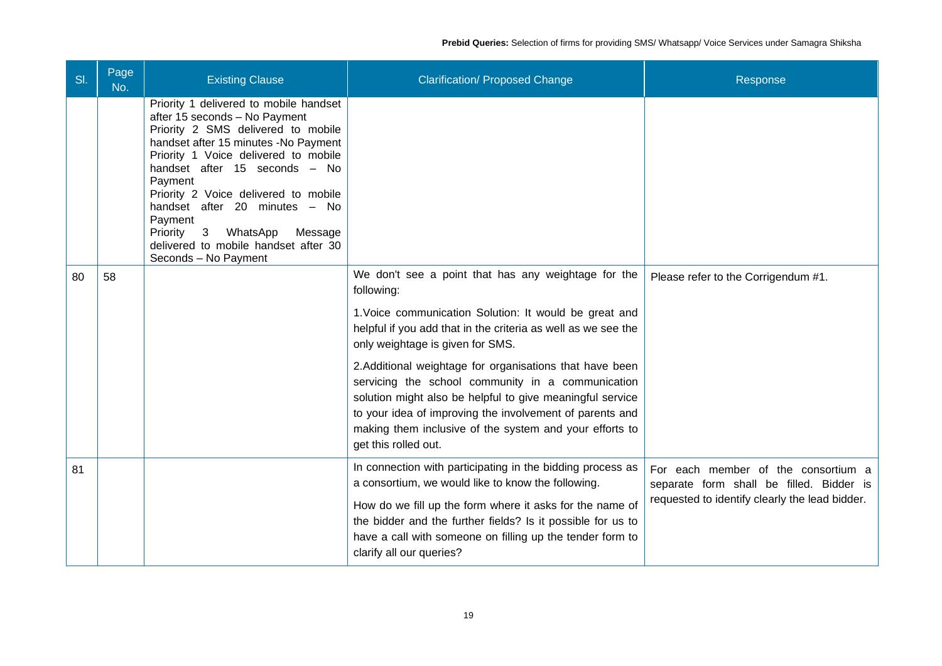| SI. | Page<br>No. | <b>Existing Clause</b>                                                                                                                                                                                                                                                                                                                                                                                                          | <b>Clarification/ Proposed Change</b>                                                                                                                                                                                                                                                                                                | Response                                                                                                                          |
|-----|-------------|---------------------------------------------------------------------------------------------------------------------------------------------------------------------------------------------------------------------------------------------------------------------------------------------------------------------------------------------------------------------------------------------------------------------------------|--------------------------------------------------------------------------------------------------------------------------------------------------------------------------------------------------------------------------------------------------------------------------------------------------------------------------------------|-----------------------------------------------------------------------------------------------------------------------------------|
|     |             | Priority 1 delivered to mobile handset<br>after 15 seconds - No Payment<br>Priority 2 SMS delivered to mobile<br>handset after 15 minutes -No Payment<br>Priority 1 Voice delivered to mobile<br>handset after 15 seconds - No<br>Payment<br>Priority 2 Voice delivered to mobile<br>handset after 20 minutes - No<br>Payment<br>Priority 3 WhatsApp<br>Message<br>delivered to mobile handset after 30<br>Seconds - No Payment |                                                                                                                                                                                                                                                                                                                                      |                                                                                                                                   |
| 80  | 58          |                                                                                                                                                                                                                                                                                                                                                                                                                                 | We don't see a point that has any weightage for the<br>following:<br>1. Voice communication Solution: It would be great and<br>helpful if you add that in the criteria as well as we see the<br>only weightage is given for SMS.                                                                                                     | Please refer to the Corrigendum #1.                                                                                               |
|     |             |                                                                                                                                                                                                                                                                                                                                                                                                                                 | 2. Additional weightage for organisations that have been<br>servicing the school community in a communication<br>solution might also be helpful to give meaningful service<br>to your idea of improving the involvement of parents and<br>making them inclusive of the system and your efforts to<br>get this rolled out.            |                                                                                                                                   |
| 81  |             |                                                                                                                                                                                                                                                                                                                                                                                                                                 | In connection with participating in the bidding process as<br>a consortium, we would like to know the following.<br>How do we fill up the form where it asks for the name of<br>the bidder and the further fields? Is it possible for us to<br>have a call with someone on filling up the tender form to<br>clarify all our queries? | For each member of the consortium a<br>separate form shall be filled. Bidder is<br>requested to identify clearly the lead bidder. |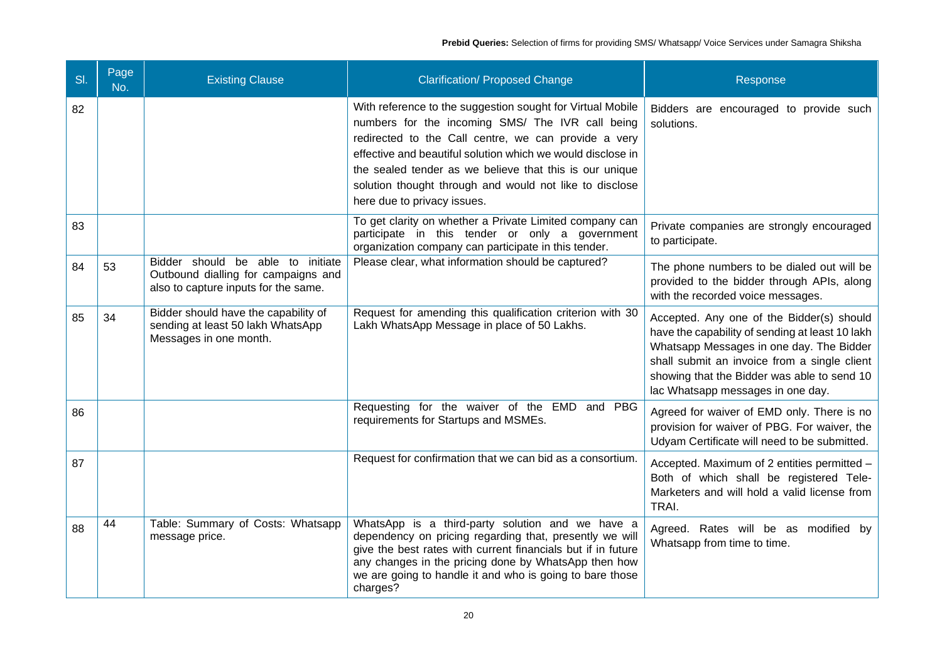| SI. | Page<br>No. | <b>Existing Clause</b>                                                                                              | <b>Clarification/ Proposed Change</b>                                                                                                                                                                                                                                                                                                                                                      | Response                                                                                                                                                                                                                                                                     |
|-----|-------------|---------------------------------------------------------------------------------------------------------------------|--------------------------------------------------------------------------------------------------------------------------------------------------------------------------------------------------------------------------------------------------------------------------------------------------------------------------------------------------------------------------------------------|------------------------------------------------------------------------------------------------------------------------------------------------------------------------------------------------------------------------------------------------------------------------------|
| 82  |             |                                                                                                                     | With reference to the suggestion sought for Virtual Mobile<br>numbers for the incoming SMS/ The IVR call being<br>redirected to the Call centre, we can provide a very<br>effective and beautiful solution which we would disclose in<br>the sealed tender as we believe that this is our unique<br>solution thought through and would not like to disclose<br>here due to privacy issues. | Bidders are encouraged to provide such<br>solutions.                                                                                                                                                                                                                         |
| 83  |             |                                                                                                                     | To get clarity on whether a Private Limited company can<br>participate in this tender or only a government<br>organization company can participate in this tender.                                                                                                                                                                                                                         | Private companies are strongly encouraged<br>to participate.                                                                                                                                                                                                                 |
| 84  | 53          | Bidder should be able to<br>initiate<br>Outbound dialling for campaigns and<br>also to capture inputs for the same. | Please clear, what information should be captured?                                                                                                                                                                                                                                                                                                                                         | The phone numbers to be dialed out will be<br>provided to the bidder through APIs, along<br>with the recorded voice messages.                                                                                                                                                |
| 85  | 34          | Bidder should have the capability of<br>sending at least 50 lakh WhatsApp<br>Messages in one month.                 | Request for amending this qualification criterion with 30<br>Lakh WhatsApp Message in place of 50 Lakhs.                                                                                                                                                                                                                                                                                   | Accepted. Any one of the Bidder(s) should<br>have the capability of sending at least 10 lakh<br>Whatsapp Messages in one day. The Bidder<br>shall submit an invoice from a single client<br>showing that the Bidder was able to send 10<br>lac Whatsapp messages in one day. |
| 86  |             |                                                                                                                     | Requesting for the waiver of the EMD and PBG<br>requirements for Startups and MSMEs.                                                                                                                                                                                                                                                                                                       | Agreed for waiver of EMD only. There is no<br>provision for waiver of PBG. For waiver, the<br>Udyam Certificate will need to be submitted.                                                                                                                                   |
| 87  |             |                                                                                                                     | Request for confirmation that we can bid as a consortium.                                                                                                                                                                                                                                                                                                                                  | Accepted. Maximum of 2 entities permitted -<br>Both of which shall be registered Tele-<br>Marketers and will hold a valid license from<br>TRAI.                                                                                                                              |
| 88  | 44          | Table: Summary of Costs: Whatsapp<br>message price.                                                                 | WhatsApp is a third-party solution and we have a<br>dependency on pricing regarding that, presently we will<br>give the best rates with current financials but if in future<br>any changes in the pricing done by WhatsApp then how<br>we are going to handle it and who is going to bare those<br>charges?                                                                                | Agreed. Rates will be as modified by<br>Whatsapp from time to time.                                                                                                                                                                                                          |